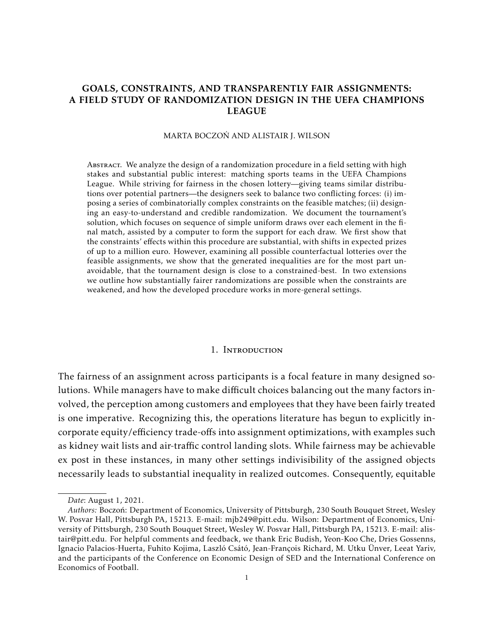# <span id="page-0-0"></span>GOALS, CONSTRAINTS, AND TRANSPARENTLY FAIR ASSIGNMENTS: A FIELD STUDY OF RANDOMIZATION DESIGN IN THE UEFA CHAMPIONS LEAGUE

#### MARTA BOCZOŃ AND ALISTAIR J. WILSON

ABSTRACT. We analyze the design of a randomization procedure in a field setting with high stakes and substantial public interest: matching sports teams in the UEFA Champions League. While striving for fairness in the chosen lottery—giving teams similar distributions over potential partners—the designers seek to balance two conflicting forces: (i) imposing a series of combinatorially complex constraints on the feasible matches; (ii) designing an easy-to-understand and credible randomization. We document the tournament's solution, which focuses on sequence of simple uniform draws over each element in the final match, assisted by a computer to form the support for each draw. We first show that the constraints' effects within this procedure are substantial, with shifts in expected prizes of up to a million euro. However, examining all possible counterfactual lotteries over the feasible assignments, we show that the generated inequalities are for the most part unavoidable, that the tournament design is close to a constrained-best. In two extensions we outline how substantially fairer randomizations are possible when the constraints are weakened, and how the developed procedure works in more-general settings.

### 1. Introduction

The fairness of an assignment across participants is a focal feature in many designed solutions. While managers have to make difficult choices balancing out the many factors involved, the perception among customers and employees that they have been fairly treated is one imperative. Recognizing this, the operations literature has begun to explicitly incorporate equity/efficiency trade-offs into assignment optimizations, with examples such as kidney wait lists and air-traffic control landing slots. While fairness may be achievable ex post in these instances, in many other settings indivisibility of the assigned objects necessarily leads to substantial inequality in realized outcomes. Consequently, equitable

*Date*: August 1, 2021.

*Authors:* Boczoń: Department of Economics, University of Pittsburgh, 230 South Bouquet Street, Wesley W. Posvar Hall, Pittsburgh PA, 15213. E-mail: mjb249@pitt.edu. Wilson: Department of Economics, University of Pittsburgh, 230 South Bouquet Street, Wesley W. Posvar Hall, Pittsburgh PA, 15213. E-mail: alistair@pitt.edu. For helpful comments and feedback, we thank Eric Budish, Yeon-Koo Che, Dries Gossenns, Ignacio Palacios-Huerta, Fuhito Kojima, Laszló Csátó, Jean-François Richard, M. Utku Ünver, Leeat Yariv, and the participants of the Conference on Economic Design of SED and the International Conference on Economics of Football.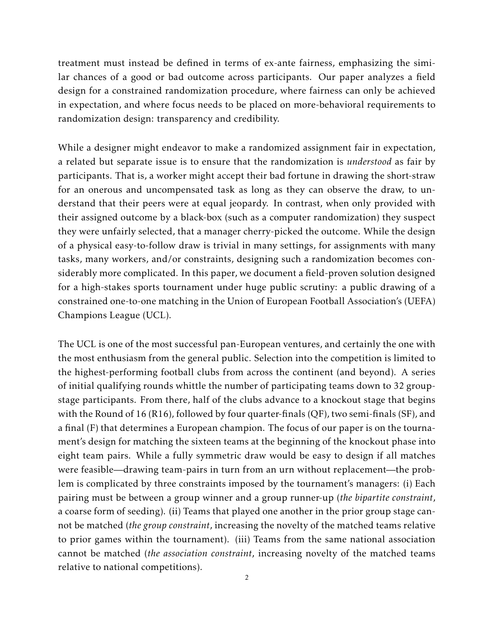treatment must instead be defined in terms of ex-ante fairness, emphasizing the similar chances of a good or bad outcome across participants. Our paper analyzes a field design for a constrained randomization procedure, where fairness can only be achieved in expectation, and where focus needs to be placed on more-behavioral requirements to randomization design: transparency and credibility.

While a designer might endeavor to make a randomized assignment fair in expectation, a related but separate issue is to ensure that the randomization is *understood* as fair by participants. That is, a worker might accept their bad fortune in drawing the short-straw for an onerous and uncompensated task as long as they can observe the draw, to understand that their peers were at equal jeopardy. In contrast, when only provided with their assigned outcome by a black-box (such as a computer randomization) they suspect they were unfairly selected, that a manager cherry-picked the outcome. While the design of a physical easy-to-follow draw is trivial in many settings, for assignments with many tasks, many workers, and/or constraints, designing such a randomization becomes considerably more complicated. In this paper, we document a field-proven solution designed for a high-stakes sports tournament under huge public scrutiny: a public drawing of a constrained one-to-one matching in the Union of European Football Association's (UEFA) Champions League (UCL).

The UCL is one of the most successful pan-European ventures, and certainly the one with the most enthusiasm from the general public. Selection into the competition is limited to the highest-performing football clubs from across the continent (and beyond). A series of initial qualifying rounds whittle the number of participating teams down to 32 groupstage participants. From there, half of the clubs advance to a knockout stage that begins with the Round of 16 (R16), followed by four quarter-finals (QF), two semi-finals (SF), and a final (F) that determines a European champion. The focus of our paper is on the tournament's design for matching the sixteen teams at the beginning of the knockout phase into eight team pairs. While a fully symmetric draw would be easy to design if all matches were feasible—drawing team-pairs in turn from an urn without replacement—the problem is complicated by three constraints imposed by the tournament's managers: (i) Each pairing must be between a group winner and a group runner-up (*the bipartite constraint*, a coarse form of seeding). (ii) Teams that played one another in the prior group stage cannot be matched (*the group constraint*, increasing the novelty of the matched teams relative to prior games within the tournament). (iii) Teams from the same national association cannot be matched (*the association constraint*, increasing novelty of the matched teams relative to national competitions).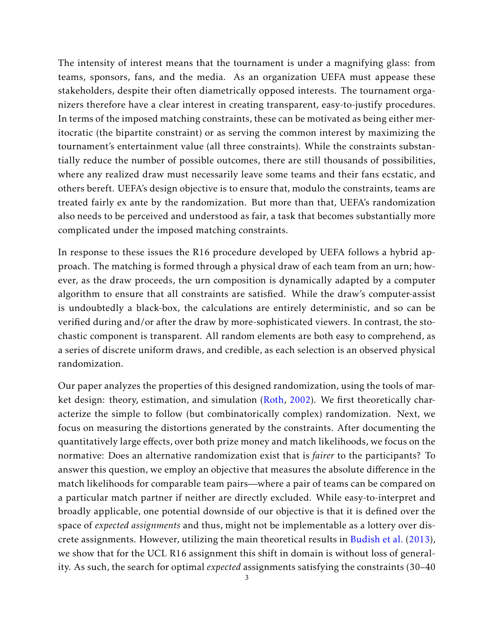The intensity of interest means that the tournament is under a magnifying glass: from teams, sponsors, fans, and the media. As an organization UEFA must appease these stakeholders, despite their often diametrically opposed interests. The tournament organizers therefore have a clear interest in creating transparent, easy-to-justify procedures. In terms of the imposed matching constraints, these can be motivated as being either meritocratic (the bipartite constraint) or as serving the common interest by maximizing the tournament's entertainment value (all three constraints). While the constraints substantially reduce the number of possible outcomes, there are still thousands of possibilities, where any realized draw must necessarily leave some teams and their fans ecstatic, and others bereft. UEFA's design objective is to ensure that, modulo the constraints, teams are treated fairly ex ante by the randomization. But more than that, UEFA's randomization also needs to be perceived and understood as fair, a task that becomes substantially more complicated under the imposed matching constraints.

In response to these issues the R16 procedure developed by UEFA follows a hybrid approach. The matching is formed through a physical draw of each team from an urn; however, as the draw proceeds, the urn composition is dynamically adapted by a computer algorithm to ensure that all constraints are satisfied. While the draw's computer-assist is undoubtedly a black-box, the calculations are entirely deterministic, and so can be verified during and/or after the draw by more-sophisticated viewers. In contrast, the stochastic component is transparent. All random elements are both easy to comprehend, as a series of discrete uniform draws, and credible, as each selection is an observed physical randomization.

Our paper analyzes the properties of this designed randomization, using the tools of market design: theory, estimation, and simulation [\(Roth,](#page-28-0) [2002\)](#page-28-0). We first theoretically characterize the simple to follow (but combinatorically complex) randomization. Next, we focus on measuring the distortions generated by the constraints. After documenting the quantitatively large effects, over both prize money and match likelihoods, we focus on the normative: Does an alternative randomization exist that is *fairer* to the participants? To answer this question, we employ an objective that measures the absolute difference in the match likelihoods for comparable team pairs—where a pair of teams can be compared on a particular match partner if neither are directly excluded. While easy-to-interpret and broadly applicable, one potential downside of our objective is that it is defined over the space of *expected assignments* and thus, might not be implementable as a lottery over discrete assignments. However, utilizing the main theoretical results in [Budish et al.](#page-27-0) [\(2013\)](#page-27-0), we show that for the UCL R16 assignment this shift in domain is without loss of generality. As such, the search for optimal *expected* assignments satisfying the constraints (30–40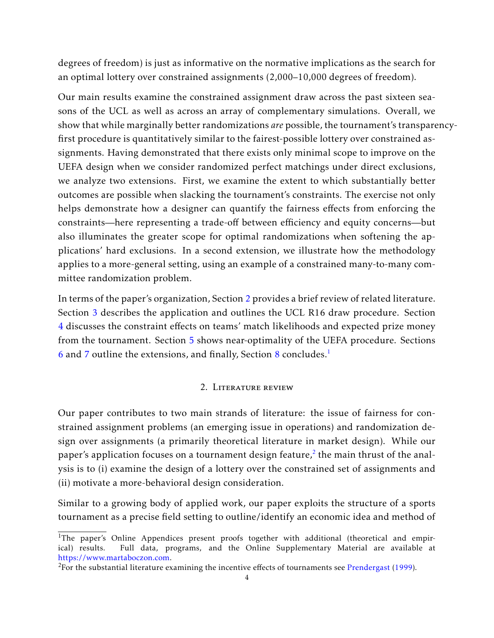degrees of freedom) is just as informative on the normative implications as the search for an optimal lottery over constrained assignments (2,000–10,000 degrees of freedom).

Our main results examine the constrained assignment draw across the past sixteen seasons of the UCL as well as across an array of complementary simulations. Overall, we show that while marginally better randomizations *are* possible, the tournament's transparencyfirst procedure is quantitatively similar to the fairest-possible lottery over constrained assignments. Having demonstrated that there exists only minimal scope to improve on the UEFA design when we consider randomized perfect matchings under direct exclusions, we analyze two extensions. First, we examine the extent to which substantially better outcomes are possible when slacking the tournament's constraints. The exercise not only helps demonstrate how a designer can quantify the fairness effects from enforcing the constraints—here representing a trade-off between efficiency and equity concerns—but also illuminates the greater scope for optimal randomizations when softening the applications' hard exclusions. In a second extension, we illustrate how the methodology applies to a more-general setting, using an example of a constrained many-to-many committee randomization problem.

In terms of the paper's organization, Section [2](#page-3-0) provides a brief review of related literature. Section [3](#page-6-0) describes the application and outlines the UCL R16 draw procedure. Section [4](#page-8-0) discusses the constraint effects on teams' match likelihoods and expected prize money from the tournament. Section [5](#page-15-0) shows near-optimality of the UEFA procedure. Sections [6](#page-19-0) and [7](#page-22-0) outline the extensions, and finally, Section [8](#page-26-0) concludes.[1](#page-0-0)

# 2. Literature review

<span id="page-3-0"></span>Our paper contributes to two main strands of literature: the issue of fairness for constrained assignment problems (an emerging issue in operations) and randomization design over assignments (a primarily theoretical literature in market design). While our paper's application focuses on a tournament design feature, $^2$  $^2$  the main thrust of the analysis is to (i) examine the design of a lottery over the constrained set of assignments and (ii) motivate a more-behavioral design consideration.

Similar to a growing body of applied work, our paper exploits the structure of a sports tournament as a precise field setting to outline/identify an economic idea and method of

<sup>&</sup>lt;sup>1</sup>The paper's Online Appendices present proofs together with additional (theoretical and empirical) results. Full data, programs, and the Online Supplementary Material are available at [https://www.martaboczon.com.](https://www.martaboczon.com)

<sup>&</sup>lt;sup>2</sup>For the substantial literature examining the incentive effects of tournaments see [Prendergast](#page-28-1) [\(1999\)](#page-28-1).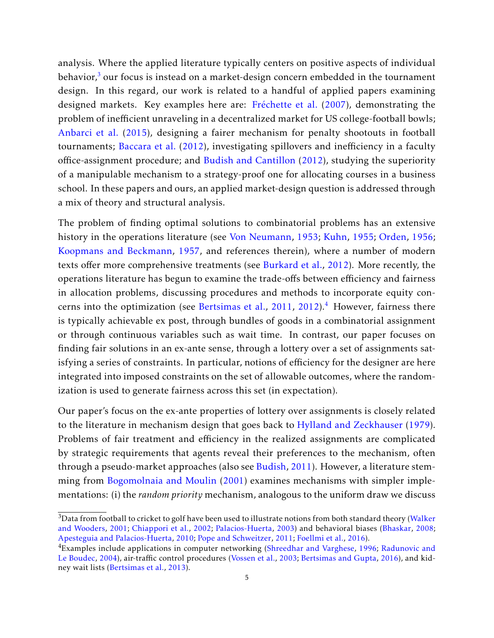analysis. Where the applied literature typically centers on positive aspects of individual behavior, $^3$  $^3$  our focus is instead on a market-design concern embedded in the tournament design. In this regard, our work is related to a handful of applied papers examining designed markets. Key examples here are: [Fréchette et al.](#page-28-2) [\(2007\)](#page-28-2), demonstrating the problem of inefficient unraveling in a decentralized market for US college-football bowls; [Anbarci et al.](#page-27-1) [\(2015\)](#page-27-1), designing a fairer mechanism for penalty shootouts in football tournaments; [Baccara et al.](#page-27-2) [\(2012\)](#page-27-2), investigating spillovers and inefficiency in a faculty office-assignment procedure; and [Budish and Cantillon](#page-27-3) [\(2012\)](#page-27-3), studying the superiority of a manipulable mechanism to a strategy-proof one for allocating courses in a business school. In these papers and ours, an applied market-design question is addressed through a mix of theory and structural analysis.

The problem of finding optimal solutions to combinatorial problems has an extensive history in the operations literature (see [Von Neumann,](#page-28-3) [1953;](#page-28-3) [Kuhn,](#page-28-4) [1955;](#page-28-4) [Orden,](#page-28-5) [1956;](#page-28-5) [Koopmans and Beckmann,](#page-28-6) [1957,](#page-28-6) and references therein), where a number of modern texts offer more comprehensive treatments (see [Burkard et al.,](#page-27-4) [2012\)](#page-27-4). More recently, the operations literature has begun to examine the trade-offs between efficiency and fairness in allocation problems, discussing procedures and methods to incorporate equity con-cerns into the optimization (see [Bertsimas et al.,](#page-27-5) [2011,](#page-27-5) [2012\)](#page-27-6).<sup>[4](#page-0-0)</sup> However, fairness there is typically achievable ex post, through bundles of goods in a combinatorial assignment or through continuous variables such as wait time. In contrast, our paper focuses on finding fair solutions in an ex-ante sense, through a lottery over a set of assignments satisfying a series of constraints. In particular, notions of efficiency for the designer are here integrated into imposed constraints on the set of allowable outcomes, where the randomization is used to generate fairness across this set (in expectation).

Our paper's focus on the ex-ante properties of lottery over assignments is closely related to the literature in mechanism design that goes back to [Hylland and Zeckhauser](#page-28-7) [\(1979\)](#page-28-7). Problems of fair treatment and efficiency in the realized assignments are complicated by strategic requirements that agents reveal their preferences to the mechanism, often through a pseudo-market approaches (also see [Budish,](#page-27-7) [2011\)](#page-27-7). However, a literature stemming from [Bogomolnaia and Moulin](#page-27-8) [\(2001\)](#page-27-8) examines mechanisms with simpler implementations: (i) the *random priority* mechanism, analogous to the uniform draw we discuss

<sup>&</sup>lt;sup>3</sup>Data from football to cricket to golf have been used to illustrate notions from both standard theory [\(Walker](#page-29-0) [and Wooders,](#page-29-0) [2001;](#page-29-0) [Chiappori et al.,](#page-28-8) [2002;](#page-28-8) [Palacios-Huerta,](#page-28-9) [2003\)](#page-28-9) and behavioral biases [\(Bhaskar,](#page-27-9) [2008;](#page-27-9) [Apesteguia and Palacios-Huerta,](#page-27-10) [2010;](#page-27-10) [Pope and Schweitzer,](#page-28-10) [2011;](#page-28-10) [Foellmi et al.,](#page-28-11) [2016\)](#page-28-11).

<sup>&</sup>lt;sup>4</sup>Examples include applications in computer networking [\(Shreedhar and Varghese,](#page-29-1) [1996;](#page-29-1) [Radunovic and](#page-28-12) [Le Boudec,](#page-28-12) [2004\)](#page-28-12), air-traffic control procedures [\(Vossen et al.,](#page-29-2) [2003;](#page-29-2) [Bertsimas and Gupta,](#page-27-11) [2016\)](#page-27-11), and kidney wait lists [\(Bertsimas et al.,](#page-27-12) [2013\)](#page-27-12).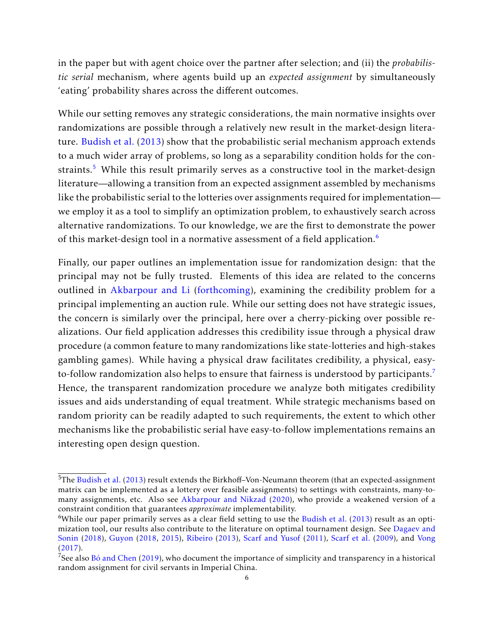in the paper but with agent choice over the partner after selection; and (ii) the *probabilistic serial* mechanism, where agents build up an *expected assignment* by simultaneously 'eating' probability shares across the different outcomes.

While our setting removes any strategic considerations, the main normative insights over randomizations are possible through a relatively new result in the market-design literature. [Budish et al.](#page-27-0) [\(2013\)](#page-27-0) show that the probabilistic serial mechanism approach extends to a much wider array of problems, so long as a separability condition holds for the con-straints.<sup>[5](#page-0-0)</sup> While this result primarily serves as a constructive tool in the market-design literature—allowing a transition from an expected assignment assembled by mechanisms like the probabilistic serial to the lotteries over assignments required for implementation we employ it as a tool to simplify an optimization problem, to exhaustively search across alternative randomizations. To our knowledge, we are the first to demonstrate the power of this market-design tool in a normative assessment of a field application.<sup>[6](#page-0-0)</sup>

Finally, our paper outlines an implementation issue for randomization design: that the principal may not be fully trusted. Elements of this idea are related to the concerns outlined in [Akbarpour and Li](#page-27-13) [\(forthcoming\)](#page-27-13), examining the credibility problem for a principal implementing an auction rule. While our setting does not have strategic issues, the concern is similarly over the principal, here over a cherry-picking over possible realizations. Our field application addresses this credibility issue through a physical draw procedure (a common feature to many randomizations like state-lotteries and high-stakes gambling games). While having a physical draw facilitates credibility, a physical, easy-to-follow randomization also helps to ensure that fairness is understood by participants.<sup>[7](#page-0-0)</sup> Hence, the transparent randomization procedure we analyze both mitigates credibility issues and aids understanding of equal treatment. While strategic mechanisms based on random priority can be readily adapted to such requirements, the extent to which other mechanisms like the probabilistic serial have easy-to-follow implementations remains an interesting open design question.

 $5$ The [Budish et al.](#page-27-0) [\(2013\)](#page-27-0) result extends the Birkhoff–Von-Neumann theorem (that an expected-assignment matrix can be implemented as a lottery over feasible assignments) to settings with constraints, many-tomany assignments, etc. Also see [Akbarpour and Nikzad](#page-27-14) [\(2020\)](#page-27-14), who provide a weakened version of a constraint condition that guarantees *approximate* implementability.

<sup>&</sup>lt;sup>6</sup>While our paper primarily serves as a clear field setting to use the [Budish et al.](#page-27-0) [\(2013\)](#page-27-0) result as an optimization tool, our results also contribute to the literature on optimal tournament design. See [Dagaev and](#page-28-13) [Sonin](#page-28-13) [\(2018\)](#page-28-13), [Guyon](#page-28-14) [\(2018,](#page-28-14) [2015\)](#page-28-15), [Ribeiro](#page-28-16) [\(2013\)](#page-28-16), [Scarf and Yusof](#page-28-17) [\(2011\)](#page-28-17), [Scarf et al.](#page-29-3) [\(2009\)](#page-29-3), and [Vong](#page-29-4) [\(2017\)](#page-29-4).

 $^7$ See also [Bó and Chen](#page-27-15) [\(2019\)](#page-27-15), who document the importance of simplicity and transparency in a historical random assignment for civil servants in Imperial China.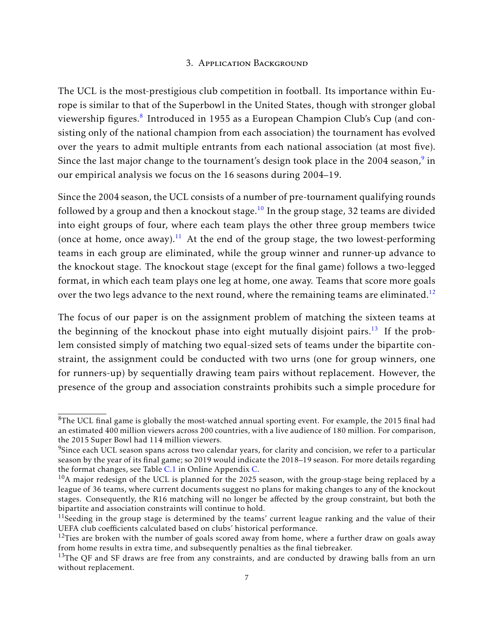## 3. Application Background

<span id="page-6-0"></span>The UCL is the most-prestigious club competition in football. Its importance within Europe is similar to that of the Superbowl in the United States, though with stronger global viewership figures. $^8$  $^8$  Introduced in 1955 as a European Champion Club's Cup (and consisting only of the national champion from each association) the tournament has evolved over the years to admit multiple entrants from each national association (at most five). Since the last major change to the tournament's design took place in the 2004 season, $^9$  $^9$  in our empirical analysis we focus on the 16 seasons during 2004–19.

Since the 2004 season, the UCL consists of a number of pre-tournament qualifying rounds followed by a group and then a knockout stage.<sup>[10](#page-0-0)</sup> In the group stage, 32 teams are divided into eight groups of four, where each team plays the other three group members twice (once at home, once away). $^{11}$  $^{11}$  $^{11}$  At the end of the group stage, the two lowest-performing teams in each group are eliminated, while the group winner and runner-up advance to the knockout stage. The knockout stage (except for the final game) follows a two-legged format, in which each team plays one leg at home, one away. Teams that score more goals over the two legs advance to the next round, where the remaining teams are eliminated.<sup>[12](#page-0-0)</sup>

The focus of our paper is on the assignment problem of matching the sixteen teams at the beginning of the knockout phase into eight mutually disjoint pairs.<sup>[13](#page-0-0)</sup> If the problem consisted simply of matching two equal-sized sets of teams under the bipartite constraint, the assignment could be conducted with two urns (one for group winners, one for runners-up) by sequentially drawing team pairs without replacement. However, the presence of the group and association constraints prohibits such a simple procedure for

 ${}^{8}$ The UCL final game is globally the most-watched annual sporting event. For example, the 2015 final had an estimated 400 million viewers across 200 countries, with a live audience of 180 million. For comparison, the 2015 Super Bowl had 114 million viewers.

 $^{9}$ Since each UCL season spans across two calendar years, for clarity and concision, we refer to a particular season by the year of its final game; so 2019 would indicate the 2018–19 season. For more details regarding the format changes, see Table [C.1](#page-36-0) in Online Appendix [C.](#page-36-1)

 $10$ A major redesign of the UCL is planned for the 2025 season, with the group-stage being replaced by a league of 36 teams, where current documents suggest no plans for making changes to any of the knockout stages. Consequently, the R16 matching will no longer be affected by the group constraint, but both the bipartite and association constraints will continue to hold.

 $11$ Seeding in the group stage is determined by the teams' current league ranking and the value of their UEFA club coefficients calculated based on clubs' historical performance.

 $12$ Ties are broken with the number of goals scored away from home, where a further draw on goals away from home results in extra time, and subsequently penalties as the final tiebreaker.

 $13$ The QF and SF draws are free from any constraints, and are conducted by drawing balls from an urn without replacement.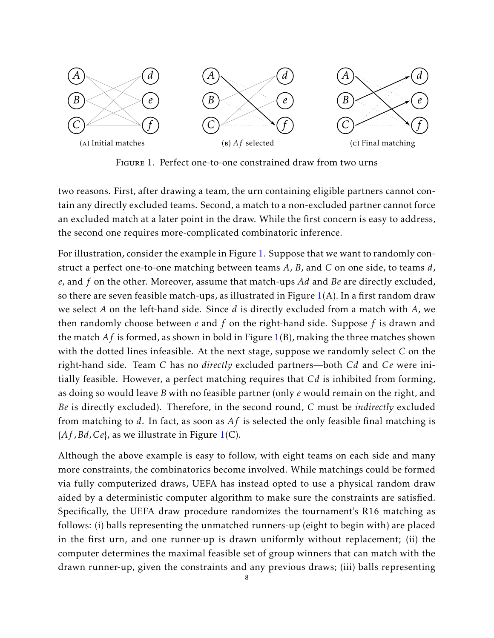<span id="page-7-0"></span>

Figure 1. Perfect one-to-one constrained draw from two urns

two reasons. First, after drawing a team, the urn containing eligible partners cannot contain any directly excluded teams. Second, a match to a non-excluded partner cannot force an excluded match at a later point in the draw. While the first concern is easy to address, the second one requires more-complicated combinatoric inference.

For illustration, consider the example in Figure [1.](#page-7-0) Suppose that we want to randomly construct a perfect one-to-one matching between teams *A*, *B*, and *C* on one side, to teams *d*, *e*, and *f* on the other. Moreover, assume that match-ups *Ad* and *Be* are directly excluded, so there are seven feasible match-ups, as illustrated in Figure  $1(A)$  $1(A)$ . In a first random draw we select *A* on the left-hand side. Since *d* is directly excluded from a match with *A*, we then randomly choose between *e* and *f* on the right-hand side. Suppose *f* is drawn and the match *Af* is formed, as shown in bold in Figure [1\(](#page-7-0)B), making the three matches shown with the dotted lines infeasible. At the next stage, suppose we randomly select *C* on the right-hand side. Team *C* has no *directly* excluded partners—both *Cd* and *Ce* were initially feasible. However, a perfect matching requires that *Cd* is inhibited from forming, as doing so would leave *B* with no feasible partner (only *e* would remain on the right, and *Be* is directly excluded). Therefore, in the second round, *C* must be *indirectly* excluded from matching to *d*. In fact, as soon as *Af* is selected the only feasible final matching is {*Af ,Bd,Ce*}, as we illustrate in Figure [1\(](#page-7-0)C).

Although the above example is easy to follow, with eight teams on each side and many more constraints, the combinatorics become involved. While matchings could be formed via fully computerized draws, UEFA has instead opted to use a physical random draw aided by a deterministic computer algorithm to make sure the constraints are satisfied. Specifically, the UEFA draw procedure randomizes the tournament's R16 matching as follows: (i) balls representing the unmatched runners-up (eight to begin with) are placed in the first urn, and one runner-up is drawn uniformly without replacement; (ii) the computer determines the maximal feasible set of group winners that can match with the drawn runner-up, given the constraints and any previous draws; (iii) balls representing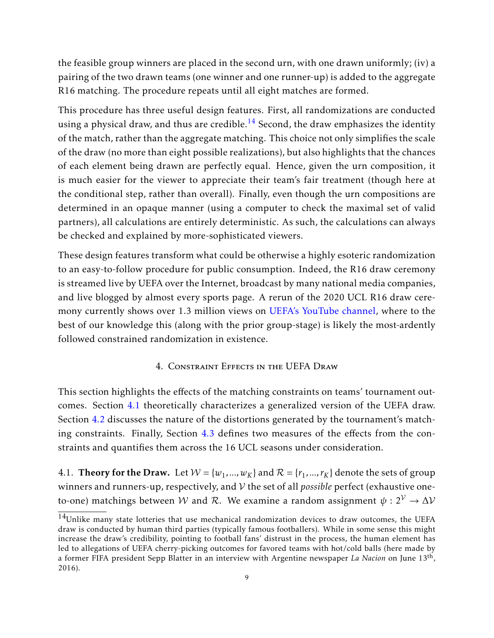the feasible group winners are placed in the second urn, with one drawn uniformly; (iv) a pairing of the two drawn teams (one winner and one runner-up) is added to the aggregate R16 matching. The procedure repeats until all eight matches are formed.

This procedure has three useful design features. First, all randomizations are conducted using a physical draw, and thus are credible.<sup>[14](#page-0-0)</sup> Second, the draw emphasizes the identity of the match, rather than the aggregate matching. This choice not only simplifies the scale of the draw (no more than eight possible realizations), but also highlights that the chances of each element being drawn are perfectly equal. Hence, given the urn composition, it is much easier for the viewer to appreciate their team's fair treatment (though here at the conditional step, rather than overall). Finally, even though the urn compositions are determined in an opaque manner (using a computer to check the maximal set of valid partners), all calculations are entirely deterministic. As such, the calculations can always be checked and explained by more-sophisticated viewers.

These design features transform what could be otherwise a highly esoteric randomization to an easy-to-follow procedure for public consumption. Indeed, the R16 draw ceremony is streamed live by UEFA over the Internet, broadcast by many national media companies, and live blogged by almost every sports page. A rerun of the 2020 UCL R16 draw ceremony currently shows over 1.3 million views on [UEFA's YouTube channel,](https://www.youtube.com/watch?v=iSR4PaAiHn4) where to the best of our knowledge this (along with the prior group-stage) is likely the most-ardently followed constrained randomization in existence.

## 4. Constraint Effects in the UEFA Draw

<span id="page-8-0"></span>This section highlights the effects of the matching constraints on teams' tournament outcomes. Section [4.1](#page-8-1) theoretically characterizes a generalized version of the UEFA draw. Section [4.2](#page-11-0) discusses the nature of the distortions generated by the tournament's matching constraints. Finally, Section [4.3](#page-12-0) defines two measures of the effects from the constraints and quantifies them across the 16 UCL seasons under consideration.

<span id="page-8-1"></span>4.1. **Theory for the Draw.** Let  $W = \{w_1, ..., w_K\}$  and  $\mathcal{R} = \{r_1, ..., r_K\}$  denote the sets of group winners and runners-up, respectively, and V the set of all *possible* perfect (exhaustive oneto-one) matchings between W and R. We examine a random assignment  $\psi : 2^{\mathcal{V}} \to \Delta \mathcal{V}$ 

 $14$ Unlike many state lotteries that use mechanical randomization devices to draw outcomes, the UEFA draw is conducted by human third parties (typically famous footballers). While in some sense this might increase the draw's credibility, pointing to football fans' distrust in the process, the human element has led to allegations of UEFA cherry-picking outcomes for favored teams with hot/cold balls (here made by a former FIFA president Sepp Blatter in an interview with Argentine newspaper *La Nacion* on June 13th , 2016).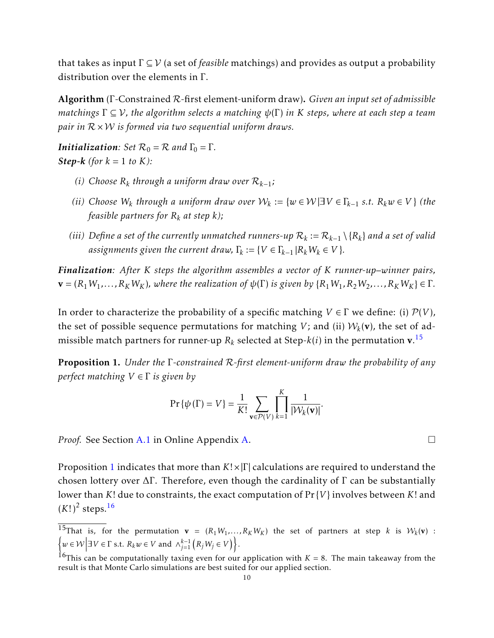that takes as input Γ ⊆ V (a set of *feasible* matchings) and provides as output a probability distribution over the elements in Γ.

Algorithm (Γ-Constrained R-first element-uniform draw). *Given an input set of admissible matchings* Γ ⊆ V*, the algorithm selects a matching ψ*(Γ) *in K steps, where at each step a team pair in* R × W *is formed via two sequential uniform draws.*

*Initialization: Set*  $\mathcal{R}_0 = \mathcal{R}$  *and*  $\Gamma_0 = \Gamma$ *. Step-k* (*for*  $k = 1$  *to*  $K$ *)*:

- *(i) Choose R<sup>k</sup> through a uniform draw over* R*k*−<sup>1</sup> *;*
- *(ii) Choose*  $W_k$  *through a uniform draw over*  $W_k := \{w \in \mathcal{W} | \exists V \in \Gamma_{k-1} \text{ s.t. } R_k w \in V \}$  *(the feasible partners for*  $R_k$  *at step*  $k$ *)*;
- *(iii)* Define a set of the currently unmatched runners-up  $\mathcal{R}_k := \mathcal{R}_{k-1} \setminus \{R_k\}$  and a set of valid *assignments given the current draw,*  $\Gamma_k := \{ V \in \Gamma_{k-1} | R_k W_k \in V \}$ *.*

*Finalization: After K steps the algorithm assembles a vector of K runner-up–winner pairs,*  $\mathbf{v} = (R_1 W_1, \dots, R_K W_K)$ , where the realization of  $\psi(\Gamma)$  is given by  $\{R_1 W_1, R_2 W_2, \dots, R_K W_K\} \in \Gamma$ .

In order to characterize the probability of a specific matching  $V \in \Gamma$  we define: (i)  $\mathcal{P}(V)$ , the set of possible sequence permutations for matching  $V$ ; and (ii)  $\mathcal{W}_k(\mathbf{v})$ , the set of admissible match partners for runner-up  $R_k$  selected at Step- $k(i)$  in the permutation  $\mathbf{v}.\mathbf{^{15}}$  $\mathbf{v}.\mathbf{^{15}}$  $\mathbf{v}.\mathbf{^{15}}$ 

<span id="page-9-0"></span>Proposition 1. *Under the* Γ*-constrained* R*-first element-uniform draw the probability of any perfect matching V* ∈ Γ *is given by*

$$
\Pr\{\psi(\Gamma) = V\} = \frac{1}{K!} \sum_{\mathbf{v} \in \mathcal{P}(V)} \prod_{k=1}^{K} \frac{1}{|\mathcal{W}_k(\mathbf{v})|}.
$$

*Proof.* See Section [A.1](#page-30-0) in Online Appendix [A.](#page-30-1) □

Proposition [1](#page-9-0) indicates that more than *K*!×|Γ| calculations are required to understand the chosen lottery over  $\Delta \Gamma$ . Therefore, even though the cardinality of  $\Gamma$  can be substantially lower than *K*! due to constraints, the exact computation of Pr {*V* } involves between *K*! and  $(K!)^2$  steps.<sup>[16](#page-0-0)</sup>

<sup>&</sup>lt;sup>15</sup>That is, for the permutation  $\mathbf{v} = (R_1 W_1, ..., R_K W_K)$  the set of partners at step *k* is  $W_k(\mathbf{v})$  :  $\left\{ w \in \mathcal{W} \middle| \exists V \in \Gamma \text{ s.t. } R_k w \in V \text{ and } \wedge_{j=1}^{k-1} \left( R_j W_j \in V \right) \right\}.$ 

 $\frac{16}{16}$ This can be computationally taxing even for our application with *K* = 8. The main takeaway from the result is that Monte Carlo simulations are best suited for our applied section.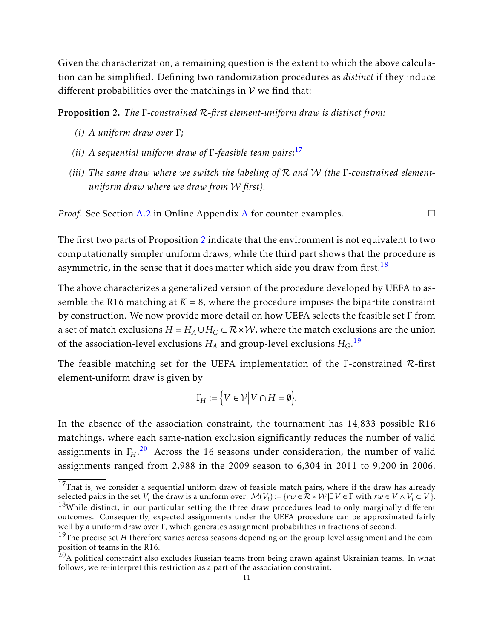Given the characterization, a remaining question is the extent to which the above calculation can be simplified. Defining two randomization procedures as *distinct* if they induce different probabilities over the matchings in  $V$  we find that:

<span id="page-10-0"></span>Proposition 2. *The* Γ*-constrained* R*-first element-uniform draw is distinct from:*

- *(i) A uniform draw over* Γ*;*
- *(ii) A sequential uniform draw of* Γ*-feasible team pairs;*[17](#page-0-0)
- *(iii) The same draw where we switch the labeling of* R *and* W *(the* Γ*-constrained elementuniform draw where we draw from* W *first).*

*Proof.* See Section [A.2](#page-30-2) in Online [A](#page-30-1)ppendix A for counter-examples.

The first two parts of Proposition [2](#page-10-0) indicate that the environment is not equivalent to two computationally simpler uniform draws, while the third part shows that the procedure is asymmetric, in the sense that it does matter which side you draw from first.<sup>[18](#page-0-0)</sup>

The above characterizes a generalized version of the procedure developed by UEFA to assemble the R16 matching at  $K = 8$ , where the procedure imposes the bipartite constraint by construction. We now provide more detail on how UEFA selects the feasible set Γ from a set of match exclusions  $H = H_A \cup H_G \subset \mathbb{R} \times \mathcal{W}$ , where the match exclusions are the union of the association-level exclusions  $H_A$  and group-level exclusions  $H_G$ .  $^{19}$  $^{19}$  $^{19}$ 

The feasible matching set for the UEFA implementation of the Γ-constrained R-first element-uniform draw is given by

$$
\Gamma_H := \Big\{ V \in \mathcal{V} \Big| V \cap H = \emptyset \Big\}.
$$

In the absence of the association constraint, the tournament has 14,833 possible R16 matchings, where each same-nation exclusion significantly reduces the number of valid assignments in Γ*H*. [20](#page-0-0) Across the 16 seasons under consideration, the number of valid assignments ranged from 2,988 in the 2009 season to 6,304 in 2011 to 9,200 in 2006.

 $17$ That is, we consider a sequential uniform draw of feasible match pairs, where if the draw has already selected pairs in the set  $V_t$  the draw is a uniform over:  $\mathcal{M}(V_t) := \{rw \in \mathcal{R} \times \mathcal{W} | \exists V \in \Gamma \text{ with } rw \in V \wedge V_t \subset V \}.$  $18$ While distinct, in our particular setting the three draw procedures lead to only marginally different outcomes. Consequently, expected assignments under the UEFA procedure can be approximated fairly well by a uniform draw over Γ, which generates assignment probabilities in fractions of second.

<sup>&</sup>lt;sup>19</sup>The precise set *H* therefore varies across seasons depending on the group-level assignment and the composition of teams in the R16.

 $^{20}$ A political constraint also excludes Russian teams from being drawn against Ukrainian teams. In what follows, we re-interpret this restriction as a part of the association constraint.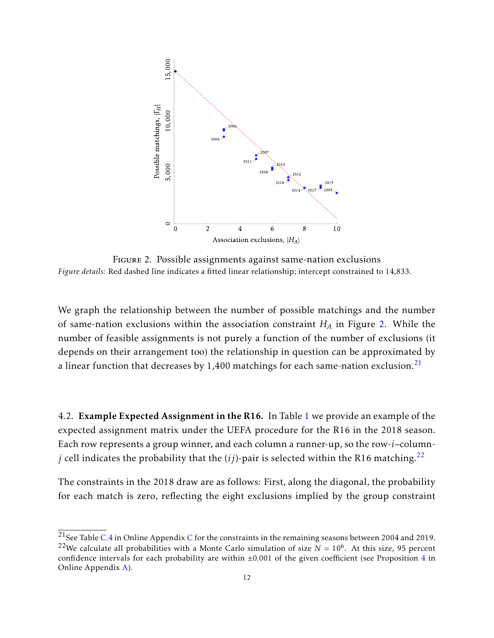<span id="page-11-1"></span>

Figure 2. Possible assignments against same-nation exclusions *Figure details:* Red dashed line indicates a fitted linear relationship; intercept constrained to 14,833.

We graph the relationship between the number of possible matchings and the number of same-nation exclusions within the association constraint *H<sup>A</sup>* in Figure [2.](#page-11-1) While the number of feasible assignments is not purely a function of the number of exclusions (it depends on their arrangement too) the relationship in question can be approximated by a linear function that decreases by  $1,400$  matchings for each same-nation exclusion.<sup>[21](#page-0-0)</sup>

<span id="page-11-0"></span>4.2. Example Expected Assignment in the R16. In Table [1](#page-12-1) we provide an example of the expected assignment matrix under the UEFA procedure for the R16 in the 2018 season. Each row represents a group winner, and each column a runner-up, so the row-*i*–column*j* cell indicates the probability that the  $(ij)$ -pair is selected within the R16 matching.<sup>[22](#page-0-0)</sup>

The constraints in the 2018 draw are as follows: First, along the diagonal, the probability for each match is zero, reflecting the eight exclusions implied by the group constraint

<sup>&</sup>lt;sup>21</sup>See Table [C.4](#page-37-0) in Online Appendix [C](#page-36-1) for the constraints in the remaining seasons between 2004 and 2019. <sup>22</sup>We calculate all probabilities with a Monte Carlo simulation of size  $N = 10^6$ . At this size, 95 percent confidence intervals for each probability are within ±0*.*001 of the given coefficient (see Proposition [4](#page-32-0) in Online Appendix [A\)](#page-30-1).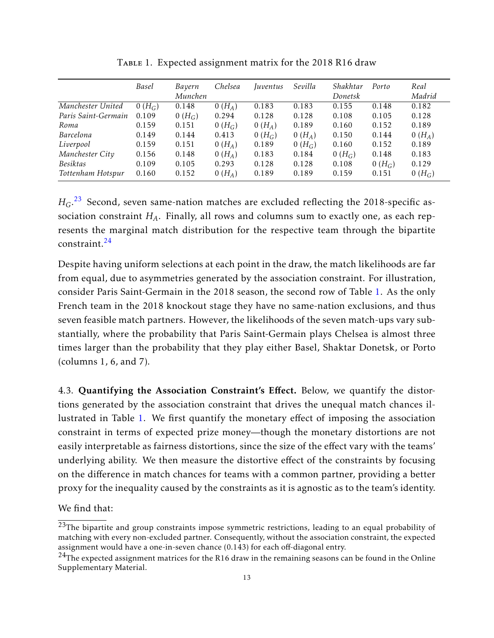<span id="page-12-1"></span>

|                     | <b>Basel</b> | Bayern<br>Munchen | Chelsea  | Iuventus | Sevilla  | Shakhtar<br>Donetsk | Porto    | Real<br>Madrid |
|---------------------|--------------|-------------------|----------|----------|----------|---------------------|----------|----------------|
|                     |              |                   |          |          |          |                     |          |                |
| Manchester United   | $0(H_G)$     | 0.148             | $0(H_A)$ | 0.183    | 0.183    | 0.155               | 0.148    | 0.182          |
| Paris Saint-Germain | 0.109        | $0(H_G)$          | 0.294    | 0.128    | 0.128    | 0.108               | 0.105    | 0.128          |
| Roma                | 0.159        | 0.151             | $0(H_G)$ | $0(H_A)$ | 0.189    | 0.160               | 0.152    | 0.189          |
| Barcelona           | 0.149        | 0.144             | 0.413    | $0(H_G)$ | $0(H_A)$ | 0.150               | 0.144    | $0(H_A)$       |
| Liverpool           | 0.159        | 0.151             | $0(H_A)$ | 0.189    | $0(H_G)$ | 0.160               | 0.152    | 0.189          |
| Manchester City     | 0.156        | 0.148             | $0(H_A)$ | 0.183    | 0.184    | $0(H_G)$            | 0.148    | 0.183          |
| <b>Besiktas</b>     | 0.109        | 0.105             | 0.293    | 0.128    | 0.128    | 0.108               | $0(H_G)$ | 0.129          |
| Tottenham Hotspur   | 0.160        | 0.152             | $0(H_A)$ | 0.189    | 0.189    | 0.159               | 0.151    | $0(H_G)$       |

TABLE 1. Expected assignment matrix for the 2018 R16 draw

 $H_G$ .<sup>[23](#page-0-0)</sup> Second, seven same-nation matches are excluded reflecting the 2018-specific association constraint *HA*. Finally, all rows and columns sum to exactly one, as each represents the marginal match distribution for the respective team through the bipartite constraint.[24](#page-0-0)

Despite having uniform selections at each point in the draw, the match likelihoods are far from equal, due to asymmetries generated by the association constraint. For illustration, consider Paris Saint-Germain in the 2018 season, the second row of Table [1.](#page-12-1) As the only French team in the 2018 knockout stage they have no same-nation exclusions, and thus seven feasible match partners. However, the likelihoods of the seven match-ups vary substantially, where the probability that Paris Saint-Germain plays Chelsea is almost three times larger than the probability that they play either Basel, Shaktar Donetsk, or Porto (columns 1, 6, and 7).

<span id="page-12-0"></span>4.3. Quantifying the Association Constraint's Effect. Below, we quantify the distortions generated by the association constraint that drives the unequal match chances illustrated in Table [1.](#page-12-1) We first quantify the monetary effect of imposing the association constraint in terms of expected prize money—though the monetary distortions are not easily interpretable as fairness distortions, since the size of the effect vary with the teams' underlying ability. We then measure the distortive effect of the constraints by focusing on the difference in match chances for teams with a common partner, providing a better proxy for the inequality caused by the constraints as it is agnostic as to the team's identity.

We find that:

<sup>&</sup>lt;sup>23</sup>The bipartite and group constraints impose symmetric restrictions, leading to an equal probability of matching with every non-excluded partner. Consequently, without the association constraint, the expected assignment would have a one-in-seven chance (0.143) for each off-diagonal entry.

 $^{24}$ The expected assignment matrices for the R16 draw in the remaining seasons can be found in the Online Supplementary Material.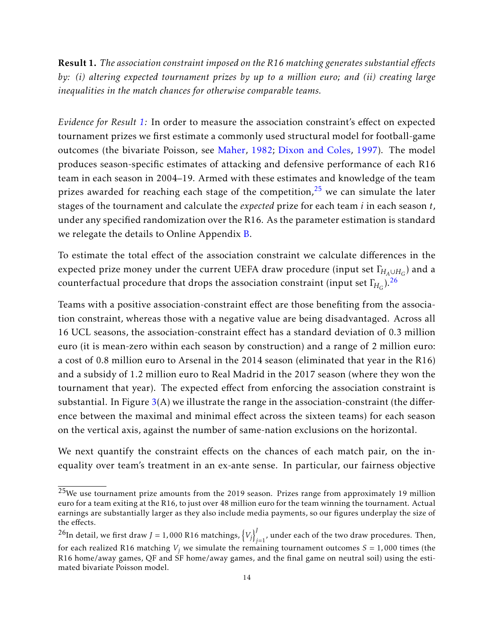<span id="page-13-0"></span>Result 1. The association constraint imposed on the R16 matching generates substantial effects *by: (i) altering expected tournament prizes by up to a million euro; and (ii) creating large inequalities in the match chances for otherwise comparable teams.*

*Evidence for Result [1:](#page-13-0)* In order to measure the association constraint's effect on expected tournament prizes we first estimate a commonly used structural model for football-game outcomes (the bivariate Poisson, see [Maher,](#page-28-18) [1982;](#page-28-18) [Dixon and Coles,](#page-28-19) [1997\)](#page-28-19). The model produces season-specific estimates of attacking and defensive performance of each R16 team in each season in 2004–19. Armed with these estimates and knowledge of the team prizes awarded for reaching each stage of the competition, $25$  we can simulate the later stages of the tournament and calculate the *expected* prize for each team *i* in each season *t*, under any specified randomization over the R16. As the parameter estimation is standard we relegate the details to Online Appendix [B.](#page-33-0)

To estimate the total effect of the association constraint we calculate differences in the expected prize money under the current UEFA draw procedure (input set  $\Gamma_{\!H_{\!A}\cup H_{\!G}}$ ) and a counterfactual procedure that drops the association constraint (input set  $\Gamma_{\!H_G}$ ). $^{26}$  $^{26}$  $^{26}$ 

Teams with a positive association-constraint effect are those benefiting from the association constraint, whereas those with a negative value are being disadvantaged. Across all 16 UCL seasons, the association-constraint effect has a standard deviation of 0.3 million euro (it is mean-zero within each season by construction) and a range of 2 million euro: a cost of 0.8 million euro to Arsenal in the 2014 season (eliminated that year in the R16) and a subsidy of 1.2 million euro to Real Madrid in the 2017 season (where they won the tournament that year). The expected effect from enforcing the association constraint is substantial. In Figure  $3(A)$  $3(A)$  we illustrate the range in the association-constraint (the difference between the maximal and minimal effect across the sixteen teams) for each season on the vertical axis, against the number of same-nation exclusions on the horizontal.

We next quantify the constraint effects on the chances of each match pair, on the inequality over team's treatment in an ex-ante sense. In particular, our fairness objective

 $25$ We use tournament prize amounts from the 2019 season. Prizes range from approximately 19 million euro for a team exiting at the R16, to just over 48 million euro for the team winning the tournament. Actual earnings are substantially larger as they also include media payments, so our figures underplay the size of the effects.

<sup>&</sup>lt;sup>26</sup>In detail, we first draw *J* = 1,000 R16 matchings,  $\{V_j\}_{j=1}^J$  $\int_{j=1}^{\infty}$ , under each of the two draw procedures. Then,

for each realized R16 matching  $V_j$  we simulate the remaining tournament outcomes  $S = 1,000$  times (the R16 home/away games, QF and SF home/away games, and the final game on neutral soil) using the estimated bivariate Poisson model.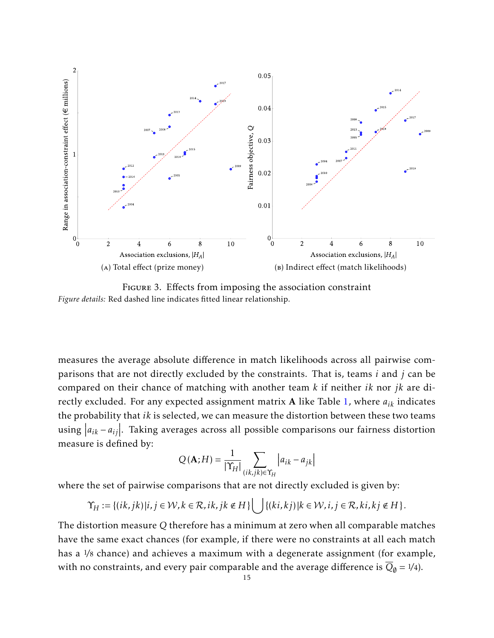<span id="page-14-0"></span>

Figure 3. Effects from imposing the association constraint *Figure details:* Red dashed line indicates fitted linear relationship.

measures the average absolute difference in match likelihoods across all pairwise comparisons that are not directly excluded by the constraints. That is, teams *i* and *j* can be compared on their chance of matching with another team *k* if neither *ik* nor *jk* are directly excluded. For any expected assignment matrix A like Table [1,](#page-12-1) where *aik* indicates the probability that *ik* is selected, we can measure the distortion between these two teams using  $|a_{ik} - a_{ij}|$ . Taking averages across all possible comparisons our fairness distortion measure is defined by:

$$
Q(\mathbf{A};H) = \frac{1}{|\Upsilon_{H}|} \sum_{(ik,jk)\in\Upsilon_{H}} |a_{ik} - a_{jk}|
$$

where the set of pairwise comparisons that are not directly excluded is given by:

$$
\Upsilon_H := \{ (ik, jk) | i, j \in \mathcal{W}, k \in \mathcal{R}, ik, jk \notin H \} \bigcup \{ (ki, kj) | k \in \mathcal{W}, i, j \in \mathcal{R}, ki, kj \notin H \}.
$$

The distortion measure *Q* therefore has a minimum at zero when all comparable matches have the same exact chances (for example, if there were no constraints at all each match has a 1*/*8 chance) and achieves a maximum with a degenerate assignment (for example, with no constraints, and every pair comparable and the average difference is  $\overline{Q}_{\emptyset} = \frac{1}{4}$ .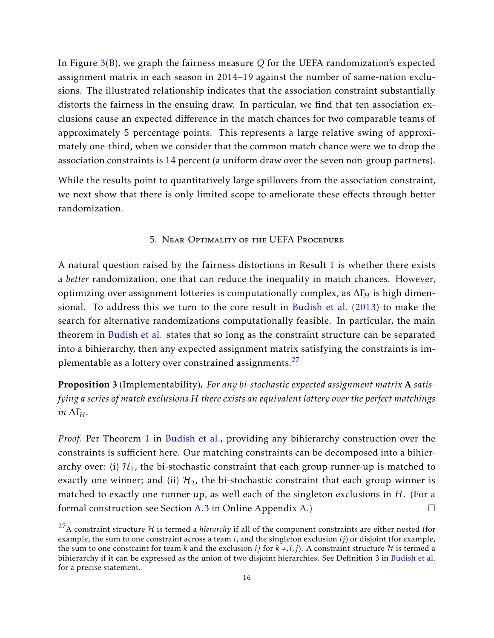In Figure [3\(](#page-14-0)B), we graph the fairness measure *Q* for the UEFA randomization's expected assignment matrix in each season in 2014–19 against the number of same-nation exclusions. The illustrated relationship indicates that the association constraint substantially distorts the fairness in the ensuing draw. In particular, we find that ten association exclusions cause an expected difference in the match chances for two comparable teams of approximately 5 percentage points. This represents a large relative swing of approximately one-third, when we consider that the common match chance were we to drop the association constraints is 14 percent (a uniform draw over the seven non-group partners).

While the results point to quantitatively large spillovers from the association constraint, we next show that there is only limited scope to ameliorate these effects through better randomization.

### 5. Near-Optimality of the UEFA Procedure

<span id="page-15-0"></span>A natural question raised by the fairness distortions in Result [1](#page-13-0) is whether there exists a *better* randomization, one that can reduce the inequality in match chances. However, optimizing over assignment lotteries is computationally complex, as ∆Γ*<sup>H</sup>* is high dimensional. To address this we turn to the core result in [Budish et al.](#page-27-0) [\(2013\)](#page-27-0) to make the search for alternative randomizations computationally feasible. In particular, the main theorem in [Budish et al.](#page-27-0) states that so long as the constraint structure can be separated into a bihierarchy, then any expected assignment matrix satisfying the constraints is im-plementable as a lottery over constrained assignments.<sup>[27](#page-0-0)</sup>

<span id="page-15-1"></span>Proposition 3 (Implementability). *For any bi-stochastic expected assignment matrix* A *satisfying a series of match exclusions H there exists an equivalent lottery over the perfect matchings in*  $ΔΓ$ *H.* 

*Proof.* Per Theorem 1 in [Budish et al.,](#page-27-0) providing any bihierarchy construction over the constraints is sufficient here. Our matching constraints can be decomposed into a bihierarchy over: (i)  $\mathcal{H}_1$ , the bi-stochastic constraint that each group runner-up is matched to exactly one winner; and (ii)  $\mathcal{H}_2$ , the bi-stochastic constraint that each group winner is matched to exactly one runner-up, as well each of the singleton exclusions in *H*. (For a formal construction see Section [A.3](#page-31-0) in Online Appendix [A.](#page-30-1))  $\Box$ 

<sup>&</sup>lt;sup>27</sup>A constraint structure  $H$  is termed a *hierarchy* if all of the component constraints are either nested (for example, the sum to one constraint across a team *i*, and the singleton exclusion *ij*) or disjoint (for example, the sum to one constraint for team *k* and the exclusion *ij* for  $k \neq, i, j$ ). A constraint structure H is termed a bihierarchy if it can be expressed as the union of two disjoint hierarchies. See Definition 3 in [Budish et al.](#page-27-0) for a precise statement.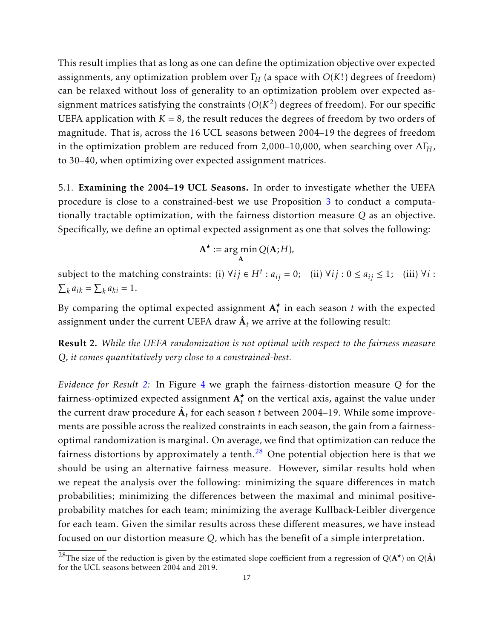This result implies that as long as one can define the optimization objective over expected assignments, any optimization problem over  $\Gamma$ <sup>*H*</sup> (a space with  $O(K!)$  degrees of freedom) can be relaxed without loss of generality to an optimization problem over expected assignment matrices satisfying the constraints ( $O(K^2)$  degrees of freedom). For our specific UEFA application with  $K = 8$ , the result reduces the degrees of freedom by two orders of magnitude. That is, across the 16 UCL seasons between 2004–19 the degrees of freedom in the optimization problem are reduced from 2,000–10,000, when searching over  $\Delta\Gamma_H$ , to 30–40, when optimizing over expected assignment matrices.

<span id="page-16-1"></span>5.1. Examining the 2004–19 UCL Seasons. In order to investigate whether the UEFA procedure is close to a constrained-best we use Proposition [3](#page-15-1) to conduct a computationally tractable optimization, with the fairness distortion measure *Q* as an objective. Specifically, we define an optimal expected assignment as one that solves the following:

$$
\mathbf{A}^{\star} := \arg\min_{\mathbf{A}} Q(\mathbf{A}; H),
$$

subject to the matching constraints: (i)  $\forall ij \in H^t : a_{ij} = 0$ ; (ii)  $\forall ij : 0 \le a_{ij} \le 1$ ; (iii)  $\forall i$ :  $\sum_{k} a_{ik} = \sum_{k} a_{ki} = 1.$ 

By comparing the optimal expected assignment  $A_t^{\star}$  in each season *t* with the expected assignment under the current UEFA draw  $\hat{\textbf{A}}_{t}$  we arrive at the following result:

<span id="page-16-0"></span>Result 2. *While the UEFA randomization is not optimal with respect to the fairness measure Q, it comes quantitatively very close to a constrained-best.*

*Evidence for Result [2:](#page-16-0)* In Figure [4](#page-17-0) we graph the fairness-distortion measure *Q* for the fairness-optimized expected assignment  $\mathbf{A}_t^{\star}$  on the vertical axis, against the value under the current draw procedure  $\hat{\textbf{A}}_{t}$  for each season  $t$  between 2004–19. While some improvements are possible across the realized constraints in each season, the gain from a fairnessoptimal randomization is marginal. On average, we find that optimization can reduce the fairness distortions by approximately a tenth.<sup>[28](#page-0-0)</sup> One potential objection here is that we should be using an alternative fairness measure. However, similar results hold when we repeat the analysis over the following: minimizing the square differences in match probabilities; minimizing the differences between the maximal and minimal positiveprobability matches for each team; minimizing the average Kullback-Leibler divergence for each team. Given the similar results across these different measures, we have instead focused on our distortion measure *Q*, which has the benefit of a simple interpretation.

<sup>&</sup>lt;sup>28</sup>The size of the reduction is given by the estimated slope coefficient from a regression of  $Q(A^{\star})$  on  $Q(\hat{A})$ for the UCL seasons between 2004 and 2019.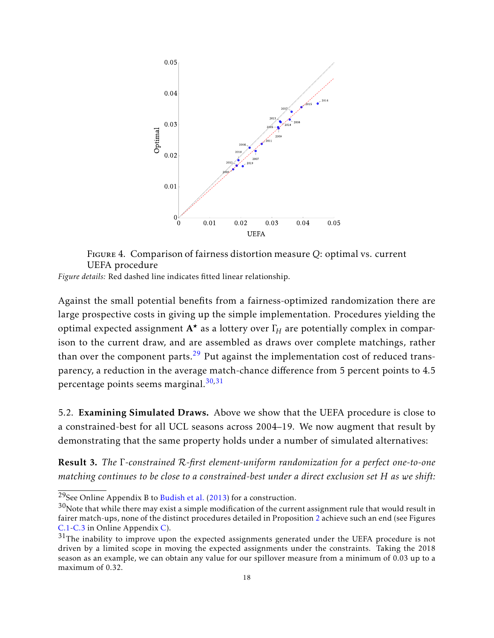<span id="page-17-0"></span>

Figure 4. Comparison of fairness distortion measure *Q*: optimal vs. current UEFA procedure

*Figure details:* Red dashed line indicates fitted linear relationship.

Against the small potential benefits from a fairness-optimized randomization there are large prospective costs in giving up the simple implementation. Procedures yielding the optimal expected assignment A*?* as a lottery over Γ*<sup>H</sup>* are potentially complex in comparison to the current draw, and are assembled as draws over complete matchings, rather than over the component parts.<sup>[29](#page-0-0)</sup> Put against the implementation cost of reduced transparency, a reduction in the average match-chance difference from 5 percent points to 4.5 percentage points seems marginal.[30](#page-0-0)*,*[31](#page-0-0)

5.2. Examining Simulated Draws. Above we show that the UEFA procedure is close to a constrained-best for all UCL seasons across 2004–19. We now augment that result by demonstrating that the same property holds under a number of simulated alternatives:

<span id="page-17-1"></span>Result 3. *The* Γ*-constrained* R*-first element-uniform randomization for a perfect one-to-one matching continues to be close to a constrained-best under a direct exclusion set H as we shift:*

<sup>&</sup>lt;sup>29</sup>See Online Appendix B to [Budish et al.](#page-27-0) [\(2013\)](#page-27-0) for a construction.

 $30$ Note that while there may exist a simple modification of the current assignment rule that would result in fairer match-ups, none of the distinct procedures detailed in Proposition [2](#page-10-0) achieve such an end (see Figures [C.1-](#page-39-0)[C.3](#page-40-0) in Online Appendix [C\)](#page-36-1).

 $31$ The inability to improve upon the expected assignments generated under the UEFA procedure is not driven by a limited scope in moving the expected assignments under the constraints. Taking the 2018 season as an example, we can obtain any value for our spillover measure from a minimum of 0.03 up to a maximum of 0.32.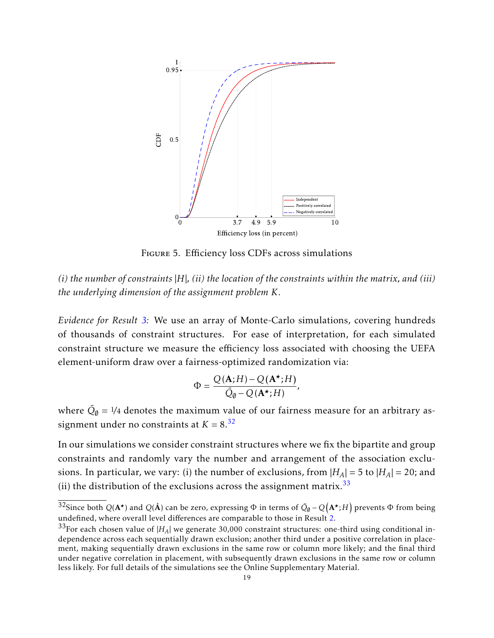<span id="page-18-0"></span>

Figure 5. Efficiency loss CDFs across simulations

*(i) the number of constraints* |*H*|*, (ii) the location of the constraints within the matrix, and (iii) the underlying dimension of the assignment problem K.*

*Evidence for Result [3:](#page-17-1)* We use an array of Monte-Carlo simulations, covering hundreds of thousands of constraint structures. For ease of interpretation, for each simulated constraint structure we measure the efficiency loss associated with choosing the UEFA element-uniform draw over a fairness-optimized randomization via:

$$
\Phi = \frac{Q(\mathbf{A};H) - Q(\mathbf{A}^{\star};H)}{\bar{Q}_{\emptyset} - Q(\mathbf{A}^{\star};H)},
$$

where  $\bar{Q}_\emptyset = \frac{1}{4}$  denotes the maximum value of our fairness measure for an arbitrary assignment under no constraints at  $K = 8^{32}$  $K = 8^{32}$  $K = 8^{32}$ 

In our simulations we consider constraint structures where we fix the bipartite and group constraints and randomly vary the number and arrangement of the association exclusions. In particular, we vary: (i) the number of exclusions, from  $|H_A| = 5$  to  $|H_A| = 20$ ; and (ii) the distribution of the exclusions across the assignment matrix.<sup>[33](#page-0-0)</sup>

<sup>&</sup>lt;sup>32</sup>Since both  $Q(A^{\star})$  and  $Q(\hat{A})$  can be zero, expressing  $\Phi$  in terms of  $\bar{Q}_\emptyset - Q(A^{\star};H)$  prevents  $\Phi$  from being undefined, where overall level differences are comparable to those in Result [2.](#page-16-0)

 $33$ For each chosen value of  $|H_A|$  we generate 30,000 constraint structures: one-third using conditional independence across each sequentially drawn exclusion; another third under a positive correlation in placement, making sequentially drawn exclusions in the same row or column more likely; and the final third under negative correlation in placement, with subsequently drawn exclusions in the same row or column less likely. For full details of the simulations see the Online Supplementary Material.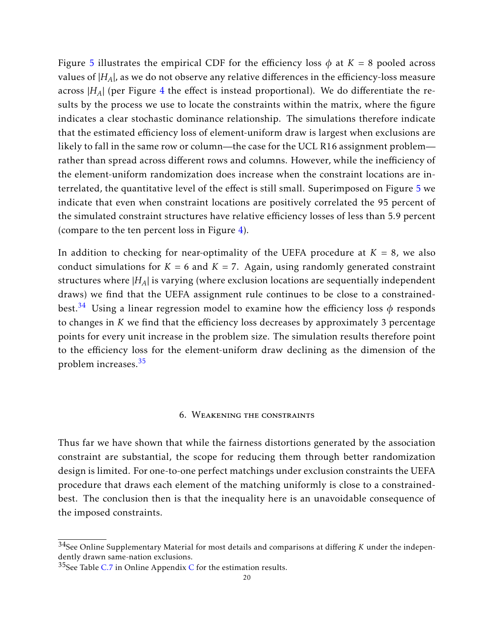Figure [5](#page-18-0) illustrates the empirical CDF for the efficiency loss  $\phi$  at  $K = 8$  pooled across values of  $|H_A|$ , as we do not observe any relative differences in the efficiency-loss measure across  $|H_A|$  (per Figure [4](#page-17-0) the effect is instead proportional). We do differentiate the results by the process we use to locate the constraints within the matrix, where the figure indicates a clear stochastic dominance relationship. The simulations therefore indicate that the estimated efficiency loss of element-uniform draw is largest when exclusions are likely to fall in the same row or column—the case for the UCL R16 assignment problem rather than spread across different rows and columns. However, while the inefficiency of the element-uniform randomization does increase when the constraint locations are interrelated, the quantitative level of the effect is still small. Superimposed on Figure [5](#page-18-0) we indicate that even when constraint locations are positively correlated the 95 percent of the simulated constraint structures have relative efficiency losses of less than 5.9 percent (compare to the ten percent loss in Figure [4\)](#page-17-0).

In addition to checking for near-optimality of the UEFA procedure at  $K = 8$ , we also conduct simulations for  $K = 6$  and  $K = 7$ . Again, using randomly generated constraint structures where |*HA*| is varying (where exclusion locations are sequentially independent draws) we find that the UEFA assignment rule continues to be close to a constrainedbest.[34](#page-0-0) Using a linear regression model to examine how the efficiency loss *φ* responds to changes in *K* we find that the efficiency loss decreases by approximately 3 percentage points for every unit increase in the problem size. The simulation results therefore point to the efficiency loss for the element-uniform draw declining as the dimension of the problem increases.[35](#page-0-0)

### 6. Weakening the constraints

<span id="page-19-0"></span>Thus far we have shown that while the fairness distortions generated by the association constraint are substantial, the scope for reducing them through better randomization design is limited. For one-to-one perfect matchings under exclusion constraints the UEFA procedure that draws each element of the matching uniformly is close to a constrainedbest. The conclusion then is that the inequality here is an unavoidable consequence of the imposed constraints.

<sup>34</sup>See Online Supplementary Material for most details and comparisons at differing *K* under the independently drawn same-nation exclusions.

 $35$ See Table [C.7](#page-39-1) in Online Appendix [C](#page-36-1) for the estimation results.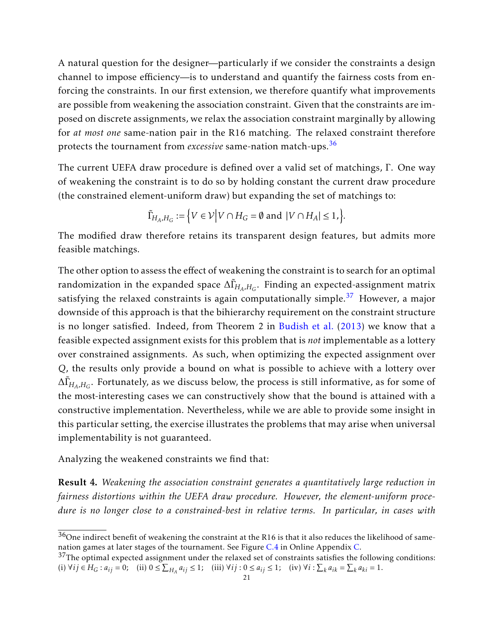A natural question for the designer—particularly if we consider the constraints a design channel to impose efficiency—is to understand and quantify the fairness costs from enforcing the constraints. In our first extension, we therefore quantify what improvements are possible from weakening the association constraint. Given that the constraints are imposed on discrete assignments, we relax the association constraint marginally by allowing for *at most one* same-nation pair in the R16 matching. The relaxed constraint therefore protects the tournament from *excessive* same-nation match-ups.[36](#page-0-0)

The current UEFA draw procedure is defined over a valid set of matchings, Γ. One way of weakening the constraint is to do so by holding constant the current draw procedure (the constrained element-uniform draw) but expanding the set of matchings to:

$$
\tilde{\Gamma}_{H_A,H_G} := \Big\{ V \in \mathcal{V} \Big| V \cap H_G = \emptyset \text{ and } |V \cap H_A| \leq 1, \Big\}.
$$

The modified draw therefore retains its transparent design features, but admits more feasible matchings.

The other option to assess the effect of weakening the constraint is to search for an optimal randomization in the expanded space  $\Delta\tilde{\Gamma}_{H_A,H_G}$ . Finding an expected-assignment matrix satisfying the relaxed constraints is again computationally simple.<sup>[37](#page-0-0)</sup> However, a major downside of this approach is that the bihierarchy requirement on the constraint structure is no longer satisfied. Indeed, from Theorem 2 in [Budish et al.](#page-27-0) [\(2013\)](#page-27-0) we know that a feasible expected assignment exists for this problem that is *not* implementable as a lottery over constrained assignments. As such, when optimizing the expected assignment over *Q*, the results only provide a bound on what is possible to achieve with a lottery over  $\Delta \tilde{\Gamma}_{H_A,H_G}$ . Fortunately, as we discuss below, the process is still informative, as for some of the most-interesting cases we can constructively show that the bound is attained with a constructive implementation. Nevertheless, while we are able to provide some insight in this particular setting, the exercise illustrates the problems that may arise when universal implementability is not guaranteed.

Analyzing the weakened constraints we find that:

<span id="page-20-0"></span>Result 4. *Weakening the association constraint generates a quantitatively large reduction in fairness distortions within the UEFA draw procedure. However, the element-uniform procedure is no longer close to a constrained-best in relative terms. In particular, in cases with*

 $36$ One indirect benefit of weakening the constraint at the R16 is that it also reduces the likelihood of samenation games at later stages of the tournament. See Figure [C.4](#page-41-0) in Online Appendix [C.](#page-36-1)

 $37$ The optimal expected assignment under the relaxed set of constraints satisfies the following conditions: (i)  $\forall ij \in H_G : a_{ij} = 0;$  (ii)  $0 \le \sum_{H_A} a_{ij} \le 1;$  (iii)  $\forall ij : 0 \le a_{ij} \le 1;$  (iv)  $\forall i : \sum_k a_{ik} = \sum_k a_{ki} = 1.$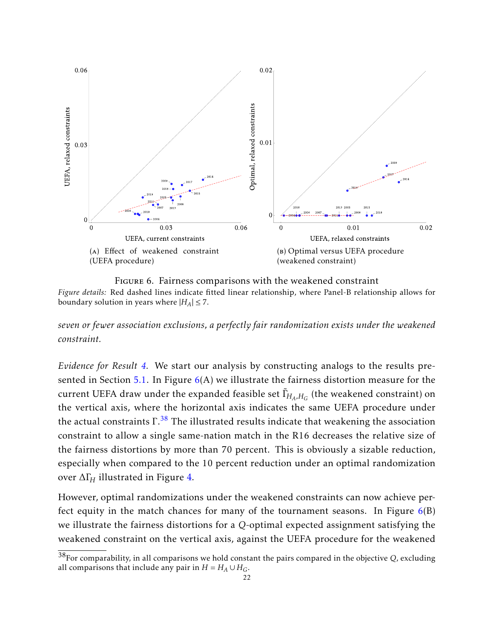<span id="page-21-0"></span>

Figure 6. Fairness comparisons with the weakened constraint *Figure details:* Red dashed lines indicate fitted linear relationship, where Panel-B relationship allows for boundary solution in years where  $|H_A| \leq 7$ .

*seven or fewer association exclusions, a perfectly fair randomization exists under the weakened constraint.*

*Evidence for Result [4.](#page-20-0)* We start our analysis by constructing analogs to the results pre-sented in Section [5.1.](#page-16-1) In Figure  $6(A)$  $6(A)$  we illustrate the fairness distortion measure for the current UEFA draw under the expanded feasible set  $\tilde{\Gamma}_{\!H_{\!A},H_{\!G}}$  (the weakened constraint) on the vertical axis, where the horizontal axis indicates the same UEFA procedure under the actual constraints  $\Gamma^{38}$  $\Gamma^{38}$  $\Gamma^{38}$  The illustrated results indicate that weakening the association constraint to allow a single same-nation match in the R16 decreases the relative size of the fairness distortions by more than 70 percent. This is obviously a sizable reduction, especially when compared to the 10 percent reduction under an optimal randomization over ∆Γ*<sup>H</sup>* illustrated in Figure [4.](#page-17-0)

However, optimal randomizations under the weakened constraints can now achieve perfect equity in the match chances for many of the tournament seasons. In Figure  $6(B)$  $6(B)$ we illustrate the fairness distortions for a *Q*-optimal expected assignment satisfying the weakened constraint on the vertical axis, against the UEFA procedure for the weakened

<sup>38</sup>For comparability, in all comparisons we hold constant the pairs compared in the objective *Q*, excluding all comparisons that include any pair in  $H = H_A \cup H_G$ .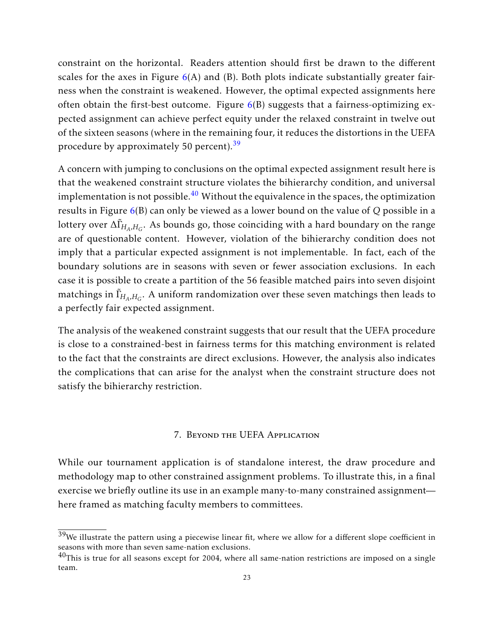constraint on the horizontal. Readers attention should first be drawn to the different scales for the axes in Figure  $6(A)$  $6(A)$  and (B). Both plots indicate substantially greater fairness when the constraint is weakened. However, the optimal expected assignments here often obtain the first-best outcome. Figure  $6(B)$  $6(B)$  suggests that a fairness-optimizing expected assignment can achieve perfect equity under the relaxed constraint in twelve out of the sixteen seasons (where in the remaining four, it reduces the distortions in the UEFA procedure by approximately 50 percent).<sup>[39](#page-0-0)</sup>

A concern with jumping to conclusions on the optimal expected assignment result here is that the weakened constraint structure violates the bihierarchy condition, and universal implementation is not possible. $40$  Without the equivalence in the spaces, the optimization results in Figure [6\(](#page-21-0)B) can only be viewed as a lower bound on the value of *Q* possible in a lottery over <sup>∆</sup>˜Γ*HA,H<sup>G</sup>* . As bounds go, those coinciding with a hard boundary on the range are of questionable content. However, violation of the bihierarchy condition does not imply that a particular expected assignment is not implementable. In fact, each of the boundary solutions are in seasons with seven or fewer association exclusions. In each case it is possible to create a partition of the 56 feasible matched pairs into seven disjoint matchings in  $\tilde{\Gamma}_{\!H_{\!A},H_{\!G}}.$  A uniform randomization over these seven matchings then leads to a perfectly fair expected assignment.

The analysis of the weakened constraint suggests that our result that the UEFA procedure is close to a constrained-best in fairness terms for this matching environment is related to the fact that the constraints are direct exclusions. However, the analysis also indicates the complications that can arise for the analyst when the constraint structure does not satisfy the bihierarchy restriction.

### 7. Beyond the UEFA Application

<span id="page-22-0"></span>While our tournament application is of standalone interest, the draw procedure and methodology map to other constrained assignment problems. To illustrate this, in a final exercise we briefly outline its use in an example many-to-many constrained assignment here framed as matching faculty members to committees.

 $39$ We illustrate the pattern using a piecewise linear fit, where we allow for a different slope coefficient in seasons with more than seven same-nation exclusions.

 $^{40}$ This is true for all seasons except for 2004, where all same-nation restrictions are imposed on a single team.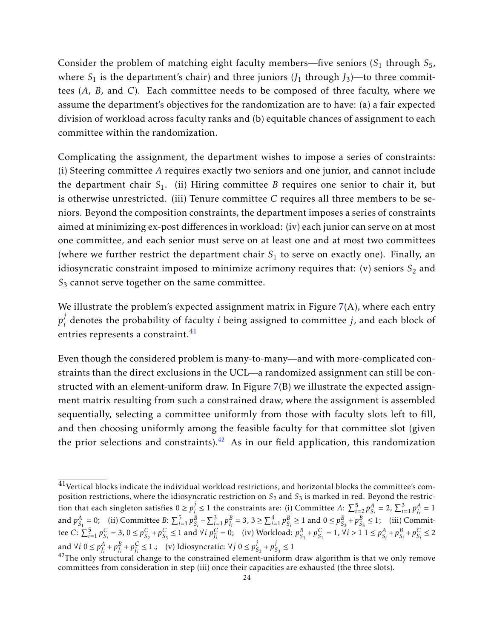Consider the problem of matching eight faculty members—five seniors (S<sub>1</sub> through S<sub>5</sub>, where  $S_1$  is the department's chair) and three juniors ( $J_1$  through  $J_3$ )—to three committees (*A*, *B*, and *C*). Each committee needs to be composed of three faculty, where we assume the department's objectives for the randomization are to have: (a) a fair expected division of workload across faculty ranks and (b) equitable chances of assignment to each committee within the randomization.

Complicating the assignment, the department wishes to impose a series of constraints: (i) Steering committee *A* requires exactly two seniors and one junior, and cannot include the department chair *S*<sup>1</sup> . (ii) Hiring committee *B* requires one senior to chair it, but is otherwise unrestricted. (iii) Tenure committee *C* requires all three members to be seniors. Beyond the composition constraints, the department imposes a series of constraints aimed at minimizing ex-post differences in workload: (iv) each junior can serve on at most one committee, and each senior must serve on at least one and at most two committees (where we further restrict the department chair  $S_1$  to serve on exactly one). Finally, an idiosyncratic constraint imposed to minimize acrimony requires that:  $(v)$  seniors  $S_2$  and *S*<sup>3</sup> cannot serve together on the same committee.

We illustrate the problem's expected assignment matrix in Figure  $7(A)$  $7(A)$ , where each entry *p j i* denotes the probability of faculty *i* being assigned to committee *j*, and each block of entries represents a constraint.<sup>[41](#page-0-0)</sup>

Even though the considered problem is many-to-many—and with more-complicated constraints than the direct exclusions in the UCL—a randomized assignment can still be constructed with an element-uniform draw. In Figure [7\(](#page-24-0)B) we illustrate the expected assignment matrix resulting from such a constrained draw, where the assignment is assembled sequentially, selecting a committee uniformly from those with faculty slots left to fill, and then choosing uniformly among the feasible faculty for that committee slot (given the prior selections and constraints).<sup>[42](#page-0-0)</sup> As in our field application, this randomization

 $^{41}$ Vertical blocks indicate the individual workload restrictions, and horizontal blocks the committee's composition restrictions, where the idiosyncratic restriction on  $S_2$  and  $S_3$  is marked in red. Beyond the restriction that each singleton satisfies  $0 \ge p_i^j$ *i*≤ 1 the constraints are: (i) Committee *A*:  $\sum_{i=2}^{5} p_{S_i}^A = 2$ ,  $\sum_{i=1}^{3} p_{J_i}^A = 1$ and  $p_{S_1}^A = 0$ ; (ii) Committee B:  $\sum_{i=1}^5 p_{S_i}^B + \sum_{i=1}^3 p_{J_i}^B = 3$ ,  $3 \ge \sum_{i=1}^4 p_{S_i}^B \ge 1$  and  $0 \le p_{S_2}^B + p_{S_3}^B \le 1$ ; (iii) Committee C:  $\sum_{i=1}^{5} p_{S_i}^C = 3$ ,  $0 \le p_{S_2}^C + p_{S_3}^C \le 1$  and  $\forall i$   $p_{J_i}^C = 0$ ; (iv) Workload:  $p_{S_1}^B + p_{S_1}^C = 1$ ,  $\forall i > 1$   $1 \le p_{S_i}^A + p_{S_i}^B + p_{S_i}^C \le 2$ and ∀*i* 0 ≤  $p_{J_i}^A + p_{J_i}^B + p_{J_i}^C$  ≤ 1.; (v) Idiosyncratic: ∀*j* 0 ≤  $p_{g_i}^j$  $\frac{j}{S_2} + p_s^j$  $\frac{1}{S_3} \leq 1$ 

 $42$ The only structural change to the constrained element-uniform draw algorithm is that we only remove committees from consideration in step (iii) once their capacities are exhausted (the three slots).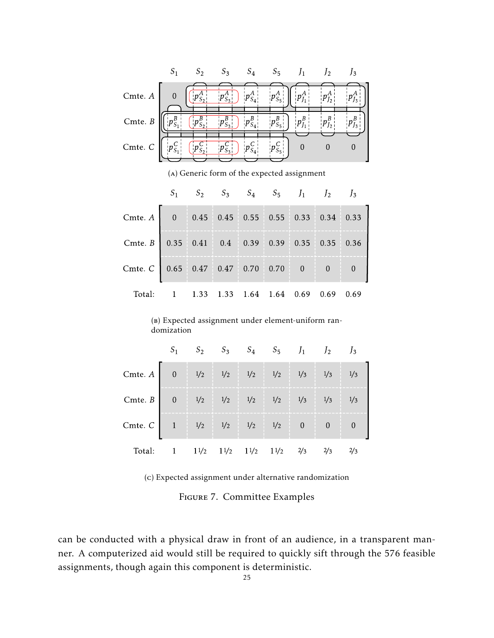<span id="page-24-0"></span>

(a) Generic form of the expected assignment

|                                                                  |  |  | $S_1$ $S_2$ $S_3$ $S_4$ $S_5$ $J_1$ $J_2$ $J_3$ |  |  |
|------------------------------------------------------------------|--|--|-------------------------------------------------|--|--|
| Cmte. A 0 0.45 0.45 0.55 0.55 0.33 0.34 0.33                     |  |  |                                                 |  |  |
| Cmte. $B$   0.35   0.41   0.4   0.39   0.39   0.35   0.35   0.36 |  |  |                                                 |  |  |
| Cmte. C 0.65 0.47 0.47 0.70 0.70 0 0 0                           |  |  |                                                 |  |  |
| Total: 1 1.33 1.33 1.64 1.64 0.69 0.69 0.69                      |  |  |                                                 |  |  |

(b) Expected assignment under element-uniform randomization

|                                                                 |                                                                                                                           | $S_1$ $S_2$ $S_3$ $S_4$ $S_5$ $J_1$ $J_2$ $J_3$ |  |  |  |  |
|-----------------------------------------------------------------|---------------------------------------------------------------------------------------------------------------------------|-------------------------------------------------|--|--|--|--|
| Cmte. A 0 $1/2$ $1/2$ $1/2$ $1/2$ $1/3$ $1/3$ $1/3$             |                                                                                                                           |                                                 |  |  |  |  |
| Cmte. B 0 $1/2$ $1/2$ $1/2$ $1/2$ $1/3$ $1/3$ $1/3$             |                                                                                                                           |                                                 |  |  |  |  |
| Cmte. C 1 $1/\frac{1}{2}$ $1/\frac{1}{2}$ $1/\frac{1}{2}$ 0 0 0 |                                                                                                                           |                                                 |  |  |  |  |
| Total:                                                          | 1 $1\frac{1}{2}$ $1\frac{1}{2}$ $1\frac{1}{2}$ $1\frac{1}{2}$ $1\frac{1}{2}$ $2\frac{2}{3}$ $2\frac{3}{3}$ $2\frac{2}{3}$ |                                                 |  |  |  |  |

(c) Expected assignment under alternative randomization

Figure 7. Committee Examples

can be conducted with a physical draw in front of an audience, in a transparent manner. A computerized aid would still be required to quickly sift through the 576 feasible assignments, though again this component is deterministic.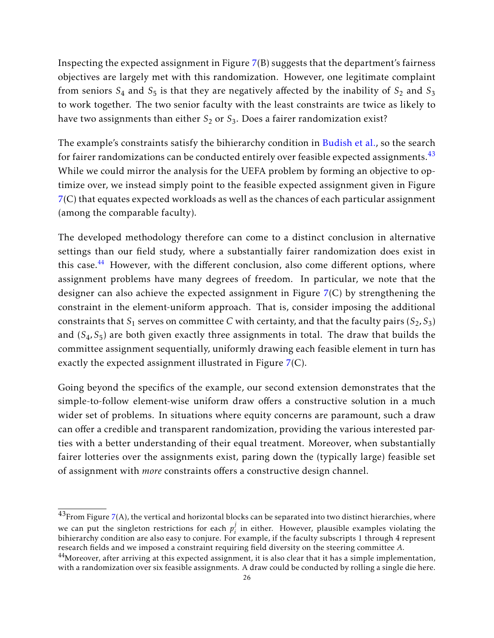Inspecting the expected assignment in Figure [7\(](#page-24-0)B) suggests that the department's fairness objectives are largely met with this randomization. However, one legitimate complaint from seniors  $S_4$  and  $S_5$  is that they are negatively affected by the inability of  $S_2$  and  $S_3$ to work together. The two senior faculty with the least constraints are twice as likely to have two assignments than either  $S_2$  or  $S_3$ . Does a fairer randomization exist?

The example's constraints satisfy the bihierarchy condition in [Budish et al.,](#page-27-0) so the search for fairer randomizations can be conducted entirely over feasible expected assignments.  $43$ While we could mirror the analysis for the UEFA problem by forming an objective to optimize over, we instead simply point to the feasible expected assignment given in Figure [7\(](#page-24-0)C) that equates expected workloads as well as the chances of each particular assignment (among the comparable faculty).

The developed methodology therefore can come to a distinct conclusion in alternative settings than our field study, where a substantially fairer randomization does exist in this case.<sup>[44](#page-0-0)</sup> However, with the different conclusion, also come different options, where assignment problems have many degrees of freedom. In particular, we note that the designer can also achieve the expected assignment in Figure [7\(](#page-24-0)C) by strengthening the constraint in the element-uniform approach. That is, consider imposing the additional constraints that  $S_1$  serves on committee  $C$  with certainty, and that the faculty pairs  $(S_2,S_3)$ and (S<sub>4</sub>, S<sub>5</sub>) are both given exactly three assignments in total. The draw that builds the committee assignment sequentially, uniformly drawing each feasible element in turn has exactly the expected assignment illustrated in Figure [7\(](#page-24-0)C).

Going beyond the specifics of the example, our second extension demonstrates that the simple-to-follow element-wise uniform draw offers a constructive solution in a much wider set of problems. In situations where equity concerns are paramount, such a draw can offer a credible and transparent randomization, providing the various interested parties with a better understanding of their equal treatment. Moreover, when substantially fairer lotteries over the assignments exist, paring down the (typically large) feasible set of assignment with *more* constraints offers a constructive design channel.

 $^{43}$ From Figure [7\(](#page-24-0)A), the vertical and horizontal blocks can be separated into two distinct hierarchies, where we can put the singleton restrictions for each  $p_i^j$  $\mathbf{F}_i$  in either. However, plausible examples violating the bihierarchy condition are also easy to conjure. For example, if the faculty subscripts 1 through 4 represent research fields and we imposed a constraint requiring field diversity on the steering committee *A*.

<sup>&</sup>lt;sup>44</sup>Moreover, after arriving at this expected assignment, it is also clear that it has a simple implementation, with a randomization over six feasible assignments. A draw could be conducted by rolling a single die here.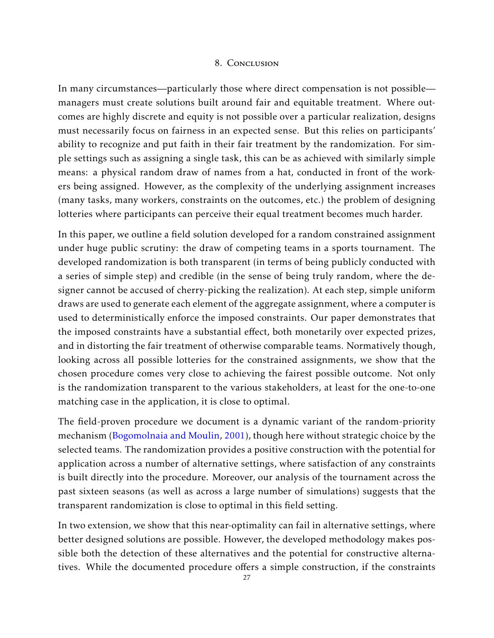### 8. Conclusion

<span id="page-26-0"></span>In many circumstances—particularly those where direct compensation is not possible managers must create solutions built around fair and equitable treatment. Where outcomes are highly discrete and equity is not possible over a particular realization, designs must necessarily focus on fairness in an expected sense. But this relies on participants' ability to recognize and put faith in their fair treatment by the randomization. For simple settings such as assigning a single task, this can be as achieved with similarly simple means: a physical random draw of names from a hat, conducted in front of the workers being assigned. However, as the complexity of the underlying assignment increases (many tasks, many workers, constraints on the outcomes, etc.) the problem of designing lotteries where participants can perceive their equal treatment becomes much harder.

In this paper, we outline a field solution developed for a random constrained assignment under huge public scrutiny: the draw of competing teams in a sports tournament. The developed randomization is both transparent (in terms of being publicly conducted with a series of simple step) and credible (in the sense of being truly random, where the designer cannot be accused of cherry-picking the realization). At each step, simple uniform draws are used to generate each element of the aggregate assignment, where a computer is used to deterministically enforce the imposed constraints. Our paper demonstrates that the imposed constraints have a substantial effect, both monetarily over expected prizes, and in distorting the fair treatment of otherwise comparable teams. Normatively though, looking across all possible lotteries for the constrained assignments, we show that the chosen procedure comes very close to achieving the fairest possible outcome. Not only is the randomization transparent to the various stakeholders, at least for the one-to-one matching case in the application, it is close to optimal.

The field-proven procedure we document is a dynamic variant of the random-priority mechanism [\(Bogomolnaia and Moulin,](#page-27-8) [2001\)](#page-27-8), though here without strategic choice by the selected teams. The randomization provides a positive construction with the potential for application across a number of alternative settings, where satisfaction of any constraints is built directly into the procedure. Moreover, our analysis of the tournament across the past sixteen seasons (as well as across a large number of simulations) suggests that the transparent randomization is close to optimal in this field setting.

In two extension, we show that this near-optimality can fail in alternative settings, where better designed solutions are possible. However, the developed methodology makes possible both the detection of these alternatives and the potential for constructive alternatives. While the documented procedure offers a simple construction, if the constraints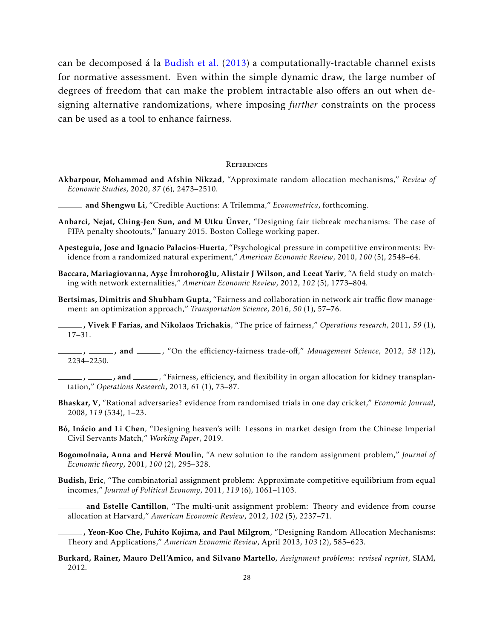can be decomposed á la [Budish et al.](#page-27-0) [\(2013\)](#page-27-0) a computationally-tractable channel exists for normative assessment. Even within the simple dynamic draw, the large number of degrees of freedom that can make the problem intractable also offers an out when designing alternative randomizations, where imposing *further* constraints on the process can be used as a tool to enhance fairness.

#### **REFERENCES**

<span id="page-27-14"></span>Akbarpour, Mohammad and Afshin Nikzad, "Approximate random allocation mechanisms," *Review of Economic Studies*, 2020, *87* (6), 2473–2510.

and Shengwu Li, "Credible Auctions: A Trilemma," *Econometrica*, forthcoming.

- <span id="page-27-13"></span><span id="page-27-1"></span>Anbarci, Nejat, Ching-Jen Sun, and M Utku Ünver, "Designing fair tiebreak mechanisms: The case of FIFA penalty shootouts," January 2015. Boston College working paper.
- <span id="page-27-10"></span>Apesteguia, Jose and Ignacio Palacios-Huerta, "Psychological pressure in competitive environments: Evidence from a randomized natural experiment," *American Economic Review*, 2010, *100* (5), 2548–64.
- <span id="page-27-2"></span>Baccara, Mariagiovanna, Ayşe İmrohoroğlu, Alistair J Wilson, and Leeat Yariv, "A field study on matching with network externalities," *American Economic Review*, 2012, *102* (5), 1773–804.
- <span id="page-27-11"></span>Bertsimas, Dimitris and Shubham Gupta, "Fairness and collaboration in network air traffic flow management: an optimization approach," *Transportation Science*, 2016, *50* (1), 57–76.

<span id="page-27-5"></span>, Vivek F Farias, and Nikolaos Trichakis, "The price of fairness," *Operations research*, 2011, *59* (1), 17–31.

<span id="page-27-6"></span>, \_\_\_, and \_\_\_, "On the efficiency-fairness trade-off," Management Science, 2012, 58 (12), 2234–2250.

- <span id="page-27-12"></span><sub>-</sub>, \_\_\_\_\_\_\_, and \_\_\_\_\_\_, "Fairness, efficiency, and flexibility in organ allocation for kidney transplantation," *Operations Research*, 2013, *61* (1), 73–87.
- <span id="page-27-9"></span>Bhaskar, V, "Rational adversaries? evidence from randomised trials in one day cricket," *Economic Journal*, 2008, *119* (534), 1–23.
- <span id="page-27-15"></span>Bó, Inácio and Li Chen, "Designing heaven's will: Lessons in market design from the Chinese Imperial Civil Servants Match," *Working Paper*, 2019.
- <span id="page-27-8"></span>Bogomolnaia, Anna and Hervé Moulin, "A new solution to the random assignment problem," *Journal of Economic theory*, 2001, *100* (2), 295–328.
- <span id="page-27-7"></span><span id="page-27-3"></span>Budish, Eric, "The combinatorial assignment problem: Approximate competitive equilibrium from equal incomes," *Journal of Political Economy*, 2011, *119* (6), 1061–1103.
	- and Estelle Cantillon, "The multi-unit assignment problem: Theory and evidence from course allocation at Harvard," *American Economic Review*, 2012, *102* (5), 2237–71.
- <span id="page-27-0"></span>, Yeon-Koo Che, Fuhito Kojima, and Paul Milgrom, "Designing Random Allocation Mechanisms: Theory and Applications," *American Economic Review*, April 2013, *103* (2), 585–623.
- <span id="page-27-4"></span>Burkard, Rainer, Mauro Dell'Amico, and Silvano Martello, *Assignment problems: revised reprint*, SIAM, 2012.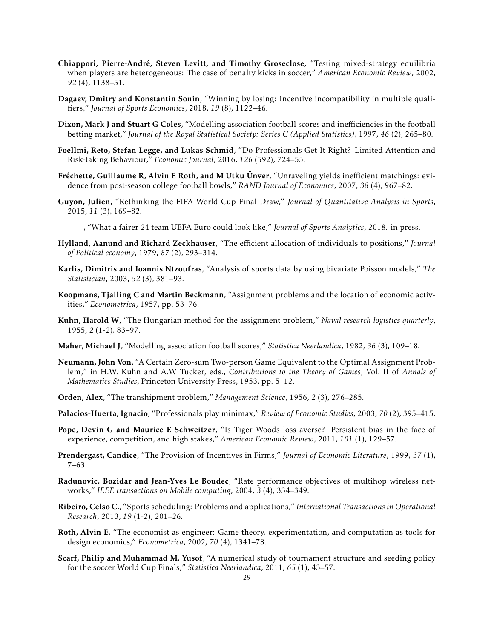- <span id="page-28-8"></span>Chiappori, Pierre-André, Steven Levitt, and Timothy Groseclose, "Testing mixed-strategy equilibria when players are heterogeneous: The case of penalty kicks in soccer," *American Economic Review*, 2002, *92* (4), 1138–51.
- <span id="page-28-13"></span>Dagaev, Dmitry and Konstantin Sonin, "Winning by losing: Incentive incompatibility in multiple qualifiers," *Journal of Sports Economics*, 2018, *19* (8), 1122–46.
- <span id="page-28-19"></span>Dixon, Mark J and Stuart G Coles, "Modelling association football scores and inefficiencies in the football betting market," *Journal of the Royal Statistical Society: Series C (Applied Statistics)*, 1997, *46* (2), 265–80.
- <span id="page-28-11"></span>Foellmi, Reto, Stefan Legge, and Lukas Schmid, "Do Professionals Get It Right? Limited Attention and Risk-taking Behaviour," *Economic Journal*, 2016, *126* (592), 724–55.
- <span id="page-28-2"></span>Fréchette, Guillaume R, Alvin E Roth, and M Utku Ünver, "Unraveling yields inefficient matchings: evidence from post-season college football bowls," *RAND Journal of Economics*, 2007, *38* (4), 967–82.
- <span id="page-28-15"></span>Guyon, Julien, "Rethinking the FIFA World Cup Final Draw," *Journal of Quantitative Analysis in Sports*, 2015, *11* (3), 169–82.
- <span id="page-28-14"></span>, "What a fairer 24 team UEFA Euro could look like," *Journal of Sports Analytics*, 2018. in press.
- <span id="page-28-7"></span>Hylland, Aanund and Richard Zeckhauser, "The efficient allocation of individuals to positions," *Journal of Political economy*, 1979, *87* (2), 293–314.
- <span id="page-28-20"></span>Karlis, Dimitris and Ioannis Ntzoufras, "Analysis of sports data by using bivariate Poisson models," *The Statistician*, 2003, *52* (3), 381–93.
- <span id="page-28-6"></span>Koopmans, Tjalling C and Martin Beckmann, "Assignment problems and the location of economic activities," *Econometrica*, 1957, pp. 53–76.
- <span id="page-28-4"></span>Kuhn, Harold W, "The Hungarian method for the assignment problem," *Naval research logistics quarterly*, 1955, *2* (1-2), 83–97.
- <span id="page-28-18"></span>Maher, Michael J, "Modelling association football scores," *Statistica Neerlandica*, 1982, *36* (3), 109–18.
- <span id="page-28-3"></span>Neumann, John Von, "A Certain Zero-sum Two-person Game Equivalent to the Optimal Assignment Problem," in H.W. Kuhn and A.W Tucker, eds., *Contributions to the Theory of Games*, Vol. II of *Annals of Mathematics Studies*, Princeton University Press, 1953, pp. 5–12.
- <span id="page-28-5"></span>Orden, Alex, "The transhipment problem," *Management Science*, 1956, *2* (3), 276–285.
- <span id="page-28-9"></span>Palacios-Huerta, Ignacio, "Professionals play minimax," *Review of Economic Studies*, 2003, *70* (2), 395–415.
- <span id="page-28-10"></span>Pope, Devin G and Maurice E Schweitzer, "Is Tiger Woods loss averse? Persistent bias in the face of experience, competition, and high stakes," *American Economic Review*, 2011, *101* (1), 129–57.
- <span id="page-28-1"></span>Prendergast, Candice, "The Provision of Incentives in Firms," *Journal of Economic Literature*, 1999, *37* (1), 7–63.
- <span id="page-28-12"></span>Radunovic, Bozidar and Jean-Yves Le Boudec, "Rate performance objectives of multihop wireless networks," *IEEE transactions on Mobile computing*, 2004, *3* (4), 334–349.
- <span id="page-28-16"></span>Ribeiro, Celso C., "Sports scheduling: Problems and applications," *International Transactions in Operational Research*, 2013, *19* (1-2), 201–26.
- <span id="page-28-0"></span>Roth, Alvin E, "The economist as engineer: Game theory, experimentation, and computation as tools for design economics," *Econometrica*, 2002, *70* (4), 1341–78.
- <span id="page-28-17"></span>Scarf, Philip and Muhammad M. Yusof, "A numerical study of tournament structure and seeding policy for the soccer World Cup Finals," *Statistica Neerlandica*, 2011, *65* (1), 43–57.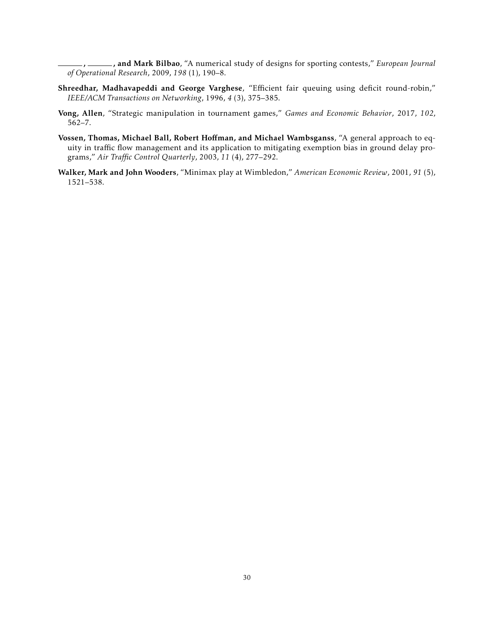<span id="page-29-3"></span>, , and Mark Bilbao, "A numerical study of designs for sporting contests," *European Journal of Operational Research*, 2009, *198* (1), 190–8.

- <span id="page-29-1"></span>Shreedhar, Madhavapeddi and George Varghese, "Efficient fair queuing using deficit round-robin," *IEEE/ACM Transactions on Networking*, 1996, *4* (3), 375–385.
- <span id="page-29-4"></span>Vong, Allen, "Strategic manipulation in tournament games," *Games and Economic Behavior*, 2017, *102*, 562–7.
- <span id="page-29-2"></span>Vossen, Thomas, Michael Ball, Robert Hoffman, and Michael Wambsganss, "A general approach to equity in traffic flow management and its application to mitigating exemption bias in ground delay programs," *Air Traffic Control Quarterly*, 2003, *11* (4), 277–292.
- <span id="page-29-0"></span>Walker, Mark and John Wooders, "Minimax play at Wimbledon," *American Economic Review*, 2001, *91* (5), 1521–538.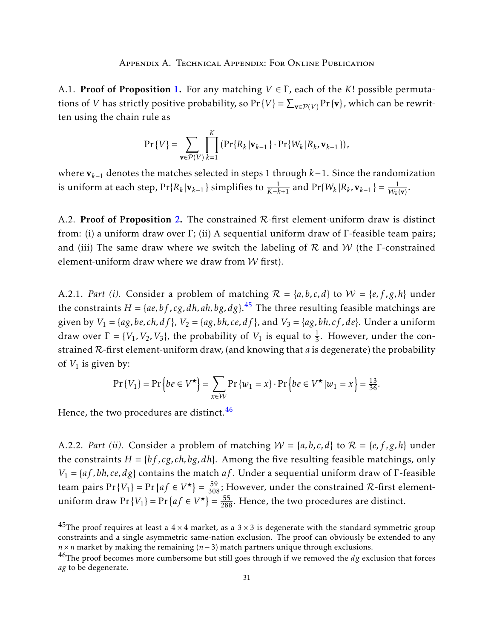<span id="page-30-1"></span><span id="page-30-0"></span>A.1. Proof of Proposition [1.](#page-9-0) For any matching *V* ∈ Γ, each of the *K*! possible permutations of *V* has strictly positive probability, so Pr {*V*} =  $\sum_{v \in \mathcal{P}(V)}$  Pr { $v$ }, which can be rewritten using the chain rule as

$$
\Pr\{V\} = \sum_{\mathbf{v}\in\mathcal{P}(V)}\prod_{k=1}^K \left(\Pr\{R_k|\mathbf{v}_{k-1}\}\cdot\Pr\{W_k|R_k,\mathbf{v}_{k-1}\}\right),\,
$$

where v*k*−<sup>1</sup> denotes the matches selected in steps 1 through *k*−1. Since the randomization is uniform at each step,  $Pr{R_k | \mathbf{v}_{k-1}}$  simplifies to  $\frac{1}{K-k+1}$  and  $Pr{W_k | R_k, \mathbf{v}_{k-1}} = \frac{1}{W_k(\mathbf{v})}$ .

<span id="page-30-2"></span>A.[2.](#page-10-0) Proof of Proposition 2. The constrained  $R$ -first element-uniform draw is distinct from: (i) a uniform draw over Γ; (ii) A sequential uniform draw of Γ-feasible team pairs; and (iii) The same draw where we switch the labeling of  $R$  and  $W$  (the  $\Gamma$ -constrained element-uniform draw where we draw from  $W$  first).

A.2.1. *Part (i).* Consider a problem of matching  $\mathcal{R} = \{a, b, c, d\}$  to  $\mathcal{W} = \{e, f, g, h\}$  under the constraints *H* = {*ae,bf , cg, dh,ah,bg, dg*}. [45](#page-0-0) The three resulting feasible matchings are given by  $V_1 = \{ag, be, ch, df\}$ ,  $V_2 = \{ag, bh, ce, df\}$ , and  $V_3 = \{ag, bh, cf, de\}$ . Under a uniform draw over  $\Gamma = \{V_1, V_2, V_3\}$ , the probability of  $V_1$  is equal to  $\frac{1}{3}$ . However, under the constrained R-first element-uniform draw, (and knowing that *a* is degenerate) the probability of *V*<sup>1</sup> is given by:

$$
\Pr\{V_1\} = \Pr\left\{be \in V^\star\right\} = \sum_{x \in \mathcal{W}} \Pr\{w_1 = x\} \cdot \Pr\left\{be \in V^\star | w_1 = x\right\} = \frac{13}{36}.
$$

Hence, the two procedures are distinct.<sup>[46](#page-0-0)</sup>

A.2.2. *Part (ii).* Consider a problem of matching  $W = \{a, b, c, d\}$  to  $\mathcal{R} = \{e, f, g, h\}$  under the constraints  $H = \{bf, cg, ch, bg, dh\}$ . Among the five resulting feasible matchings, only *V*<sup>1</sup> = {*af ,bh, ce, dg*} contains the match *af* . Under a sequential uniform draw of Γ-feasible team pairs  $Pr\{V_1\} = Pr\{af \in V^{\star}\} = \frac{59}{308}$ ; However, under the constrained R-first elementuniform draw  $Pr\{V_1\} = Pr\{af \in V^{\star}\} = \frac{55}{288}$ . Hence, the two procedures are distinct.

<sup>&</sup>lt;sup>45</sup>The proof requires at least a  $4 \times 4$  market, as a  $3 \times 3$  is degenerate with the standard symmetric group constraints and a single asymmetric same-nation exclusion. The proof can obviously be extended to any *n* × *n* market by making the remaining (*n* − 3) match partners unique through exclusions.

<sup>46</sup>The proof becomes more cumbersome but still goes through if we removed the *dg* exclusion that forces *ag* to be degenerate.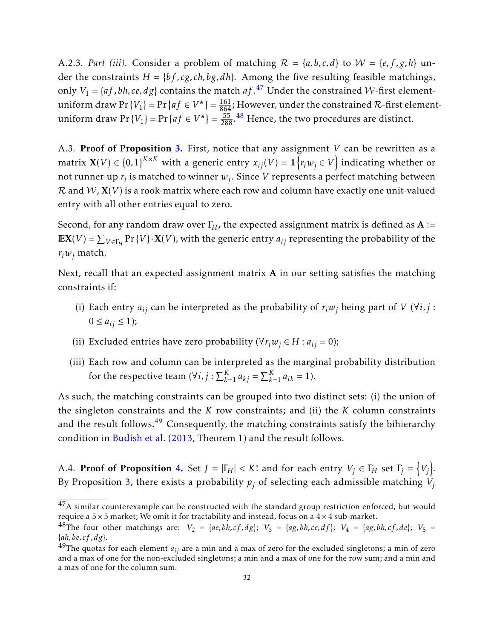A.2.3. *Part (iii).* Consider a problem of matching  $\mathcal{R} = \{a, b, c, d\}$  to  $\mathcal{W} = \{e, f, g, h\}$  under the constraints  $H = \{bf, cg, ch, bg, dh\}$ . Among the five resulting feasible matchings, only  $V_1 = \{af, bh, ce, dg\}$  contains the match  $af^{47}$  $af^{47}$  $af^{47}$  Under the constrained *W*-first elementuniform draw  $Pr\{V_1\} = Pr\{af \in V^\star\} = \frac{161}{864}$ ; However, under the constrained  $\mathcal R$ -first elementuniform draw  $Pr\{V_1\} = Pr\{af \in V^{\star}\} = \frac{55}{288}.$ <sup>[48](#page-0-0)</sup> Hence, the two procedures are distinct.

<span id="page-31-0"></span>A.3. Proof of Proposition [3.](#page-15-1) First, notice that any assignment *V* can be rewritten as a  $\text{matrix } \mathbf{X}(V) \in \{0,1\}^{K \times K} \text{ with a generic entry } x_{ij}(V) = \mathbf{1}\left\{r_iw_j \in V\right\} \text{ indicating whether or } \mathbf{X}(V) = \mathbf{1}\left\{r_iw_j \in V\right\}$ not runner-up  $r_i$  is matched to winner  $w_j.$  Since  $V$  represents a perfect matching between  $\mathcal R$  and  $\mathcal W$ ,  $X(V)$  is a rook-matrix where each row and column have exactly one unit-valued entry with all other entries equal to zero.

Second, for any random draw over  $\Gamma_H$ , the expected assignment matrix is defined as  $A :=$  $\mathbb{E}X(V) = \sum_{V \in \Gamma_H} \Pr\{V\} \cdot X(V)$ , with the generic entry  $a_{ij}$  representing the probability of the  $r_i w_j$  match.

Next, recall that an expected assignment matrix A in our setting satisfies the matching constraints if:

- (i) Each entry  $a_{ij}$  can be interpreted as the probability of  $r_iw_j$  being part of *V* ( $\forall i, j$ :  $0 \le a_{ij} \le 1$ ;
- (ii) Excluded entries have zero probability ( $\forall r_i w_j \in H : a_{ij} = 0$ );
- (iii) Each row and column can be interpreted as the marginal probability distribution for the respective team  $(\forall i, j : \sum_{k=1}^{K} a_{kj} = \sum_{k=1}^{K} a_{ik} = 1).$

As such, the matching constraints can be grouped into two distinct sets: (i) the union of the singleton constraints and the *K* row constraints; and (ii) the *K* column constraints and the result follows.<sup>[49](#page-0-0)</sup> Consequently, the matching constraints satisfy the bihierarchy condition in [Budish et al.](#page-27-0) [\(2013,](#page-27-0) Theorem 1) and the result follows.

A.[4.](#page-32-0) Proof of Proposition 4. Set  $J = |\Gamma_H| < K!$  and for each entry  $V_j \in \Gamma_H$  set  $\Gamma_j = \{V_j\}.$ By Proposition [3,](#page-15-1) there exists a probability  $p_j$  of selecting each admissible matching  $V_j$ 

 $^{47}\mathrm{A}$  similar counterexample can be constructed with the standard group restriction enforced, but would require a  $5 \times 5$  market; We omit it for tractability and instead, focus on a  $4 \times 4$  sub-market.

<sup>&</sup>lt;sup>48</sup>The four other matchings are:  $V_2 = {ae, bh, cf, dg}$ ;  $V_3 = {ag, bh, ce, df}$ ;  $V_4 = {ag, bh, cf, de}$ ;  $V_5 =$ {*ah,be, cf , dg*}.

 $^{49}$ The quotas for each element  $a_{ij}$  are a min and a max of zero for the excluded singletons; a min of zero and a max of one for the non-excluded singletons; a min and a max of one for the row sum; and a min and a max of one for the column sum.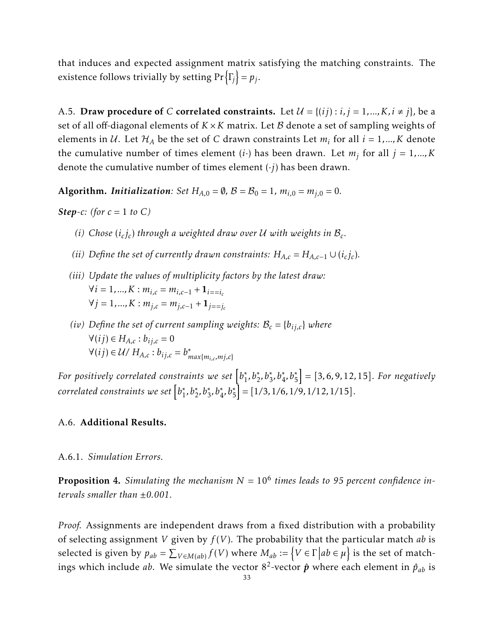that induces and expected assignment matrix satisfying the matching constraints. The existence follows trivially by setting  $Pr\left\{ \Gamma_{j} \right\} = p_{j}$ .

A.5. Draw procedure of *C* correlated constraints. Let  $\mathcal{U} = \{(ij) : i, j = 1, ..., K, i \neq j\}$ , be a set of all off-diagonal elements of *K* ×*K* matrix. Let B denote a set of sampling weights of elements in U. Let  $\mathcal{H}_A$  be the set of C drawn constraints Let  $m_i$  for all  $i = 1, ..., K$  denote the cumulative number of times element  $(i \cdot)$  has been drawn. Let  $m_j$  for all  $j = 1,...,K$ denote the cumulative number of times element (·*j*) has been drawn.

**Algorithm.** *Initialization: Set*  $H_{A,0} = \emptyset$ ,  $\mathcal{B} = \mathcal{B}_0 = 1$ ,  $m_{i,0} = m_{i,0} = 0$ .

*Step-c:* (for  $c = 1$  *to*  $C$ )

- *(i) Chose*  $(i_c j_c)$  *through a weighted draw over*  $U$  *with weights in*  $B_c$ *.*
- *(ii) Define the set of currently drawn constraints:*  $H_{A,c} = H_{A,c-1} \cup (i_c j_c)$ *.*
- *(iii) Update the values of multiplicity factors by the latest draw:*  $∀*i* = 1, ..., K : *m*<sub>*i,c*</sub> = *m*<sub>*i,c*-1</sub> + **1**<sub>*i*==*i*<sub>*c*</sub></sub>$ <sup>∀</sup>*<sup>j</sup>* = 1*,...,K* : *<sup>m</sup>j,c* <sup>=</sup> *<sup>m</sup>j,c*−<sup>1</sup> <sup>+</sup> <sup>1</sup>*j*==*j<sup>c</sup>*
- *(iv) Define the set of current sampling weights:*  $B_c = \{b_{ij,c}\}$  *where*  $∀(ij) ∈ H<sub>A,c</sub> : b<sub>ij,c</sub> = 0$  $\forall (ij) \in \mathcal{U}/H_{A,c}: b_{ij,c} = b_{ik}^*$ *max*{*mi,c,mj,c*}

For positively correlated constraints we set  $[b_1^\ast]$  $A_1^*, b_2^*, b_3^*, b_4^*, b_5^*$  = [3, 6, 9, 12, 15]*. For negatively*  $\emph{correlated constraints we set}$   $[b_1^*$  $\left[\frac{1}{2}, b^*_{2}, b^*_{3}, b^*_{4}, b^*_{5}\right] = [1/3, 1/6, 1/9, 1/12, 1/15].$ 

## A.6. Additional Results.

### A.6.1. *Simulation Errors.*

<span id="page-32-0"></span>Proposition 4. *Simulating the mechanism N* = 10<sup>6</sup> *times leads to 95 percent confidence intervals smaller than* ±*0.001.*

*Proof.* Assignments are independent draws from a fixed distribution with a probability of selecting assignment *V* given by *f* (*V* ). The probability that the particular match *ab* is selected is given by  $p_{ab} = \sum_{V \in M(ab)} f(V)$  where  $M_{ab} := \{ V \in \Gamma \mid ab \in \mu \}$  is the set of matchings which include  $ab$ . We simulate the vector  $8^2$ -vector  $\hat{\bm{p}}$  where each element in  $\hat{p}_{ab}$  is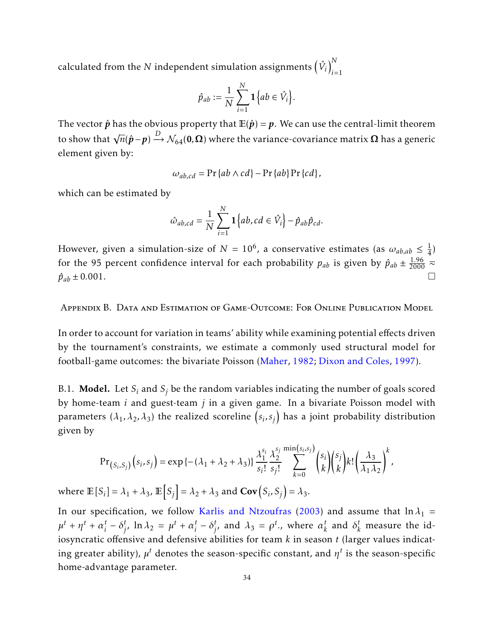calculated from the  $N$  independent simulation assignments  $\left(\hat{V}_i\right)_{i=1}^N$ *i*=1

$$
\hat{p}_{ab} := \frac{1}{N} \sum_{i=1}^{N} \mathbf{1} \{ ab \in \hat{V}_i \}.
$$

The vector  $\hat{p}$  has the obvious property that  $\mathbb{E}(\hat{p}) = p$ . We can use the central-limit theorem to show that  $\sqrt{n}(\hat{p} - p) \stackrel{D}{\rightarrow} \mathcal{N}_{64}(\mathbf{0}, \mathbf{\Omega})$  where the variance-covariance matrix  $\mathbf{\Omega}$  has a generic element given by:

$$
\omega_{ab,cd} = \Pr\{ab \wedge cd\} - \Pr\{ab\} \Pr\{cd\},\
$$

which can be estimated by

$$
\hat{\omega}_{ab,cd} = \frac{1}{N} \sum_{i=1}^{N} \mathbf{1} \{ ab, cd \in \hat{V}_i \} - \hat{p}_{ab} \hat{p}_{cd}.
$$

However, given a simulation-size of  $N=10^6$ , a conservative estimates (as  $\omega_{ab,ab}\leq \frac{1}{4}$  $\frac{1}{4})$ for the 95 percent confidence interval for each probability  $p_{ab}$  is given by  $\hat{p}_{ab} \pm \frac{1.96}{2000} \approx$  $\hat{p}_{ab} \pm 0.001.$ 

<span id="page-33-0"></span>Appendix B. Data and Estimation of Game-Outcome: For Online Publication Model

In order to account for variation in teams' ability while examining potential effects driven by the tournament's constraints, we estimate a commonly used structural model for football-game outcomes: the bivariate Poisson [\(Maher,](#page-28-18) [1982;](#page-28-18) [Dixon and Coles,](#page-28-19) [1997\)](#page-28-19).

B.1. **Model.** Let  $S_i$  and  $S_j$  be the random variables indicating the number of goals scored by home-team *i* and guest-team *j* in a given game. In a bivariate Poisson model with parameters  $(\lambda_1, \lambda_2, \lambda_3)$  the realized scoreline  $\left( s_i, s_j \right)$  has a joint probability distribution given by

$$
\Pr_{(S_i, S_j)}(s_i, s_j) = \exp\left\{-(\lambda_1 + \lambda_2 + \lambda_3)\right\} \frac{\lambda_1^{s_i}}{s_i!} \frac{\lambda_2^{s_j}}{s_j!} \sum_{k=0}^{\min(s_i, s_j)} {s_i \choose k} {s_j \choose k} k! \left(\frac{\lambda_3}{\lambda_1 \lambda_2}\right)^k
$$

*,*

where  $\mathbb{E}[S_i] = \lambda_1 + \lambda_3$ ,  $\mathbb{E}[S_j] = \lambda_2 + \lambda_3$  and  $Cov(S_i, S_j) = \lambda_3$ .

In our specification, we follow [Karlis and Ntzoufras](#page-28-20) [\(2003\)](#page-28-20) and assume that  $\ln \lambda_1$  =  $\mu^t + \eta^t + \alpha_i^t$  $i^t - \delta^t_j$  $j^t$ , ln  $\lambda_2 = \mu^t + \alpha_i^t$  $i^t - \delta^t_j$  $i_j^t$ , and  $\lambda_3 = \rho^t$ ., where  $\alpha_k^t$  $\alpha_k^t$  and  $\delta_k^t$  measure the idiosyncratic offensive and defensive abilities for team *k* in season *t* (larger values indicating greater ability),  $\mu^t$  denotes the season-specific constant, and  $\eta^t$  is the season-specific home-advantage parameter.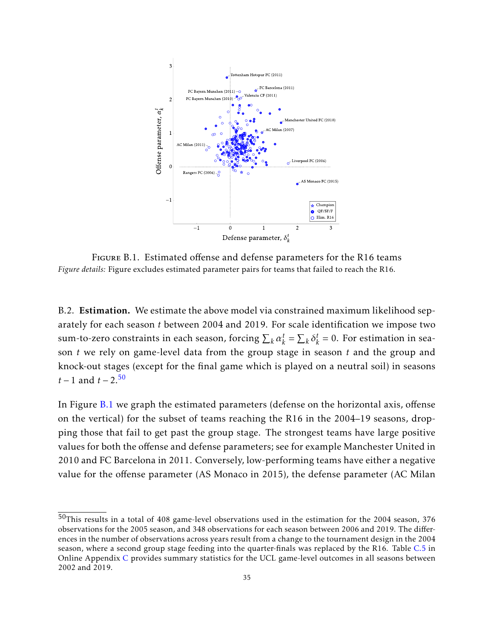<span id="page-34-0"></span>

Figure B.1. Estimated offense and defense parameters for the R16 teams *Figure details:* Figure excludes estimated parameter pairs for teams that failed to reach the R16.

B.2. Estimation. We estimate the above model via constrained maximum likelihood separately for each season *t* between 2004 and 2019. For scale identification we impose two sum-to-zero constraints in each season, forcing  $\sum_k \alpha_k^t$  $\sum_k^t = \sum_k \delta_k^t$  $k = 0$ . For estimation in season *t* we rely on game-level data from the group stage in season *t* and the group and knock-out stages (except for the final game which is played on a neutral soil) in seasons *t* − 1 and *t* − 2.<sup>[50](#page-0-0)</sup>

In Figure [B.1](#page-34-0) we graph the estimated parameters (defense on the horizontal axis, offense on the vertical) for the subset of teams reaching the R16 in the 2004–19 seasons, dropping those that fail to get past the group stage. The strongest teams have large positive values for both the offense and defense parameters; see for example Manchester United in 2010 and FC Barcelona in 2011. Conversely, low-performing teams have either a negative value for the offense parameter (AS Monaco in 2015), the defense parameter (AC Milan

 $50$ This results in a total of 408 game-level observations used in the estimation for the 2004 season, 376 observations for the 2005 season, and 348 observations for each season between 2006 and 2019. The differences in the number of observations across years result from a change to the tournament design in the 2004 season, where a second group stage feeding into the quarter-finals was replaced by the R16. Table [C.5](#page-38-0) in Online Appendix [C](#page-36-1) provides summary statistics for the UCL game-level outcomes in all seasons between 2002 and 2019.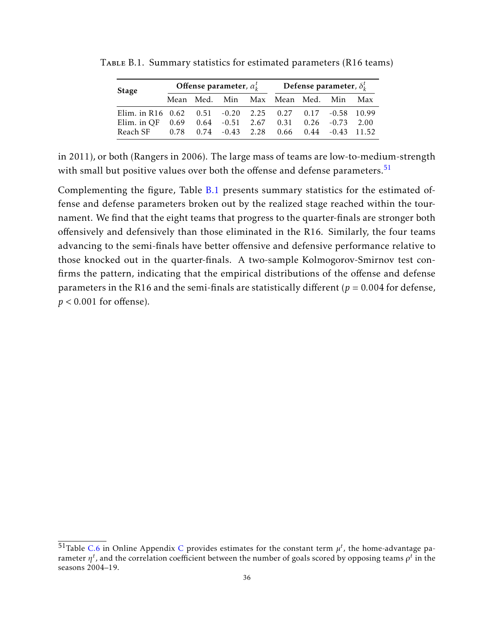| <b>Stage</b>                                                          |  | Offense parameter, $\alpha_k^t$ | Defense parameter, $\delta_k^t$                            |  |     |     |  |
|-----------------------------------------------------------------------|--|---------------------------------|------------------------------------------------------------|--|-----|-----|--|
|                                                                       |  |                                 | Mean Med. Min Max Mean Med.                                |  | Min | Max |  |
| Elim. in R16 $0.62$ $0.51$ $-0.20$ $2.25$ $0.27$ $0.17$ $-0.58$ 10.99 |  |                                 |                                                            |  |     |     |  |
| Elim. in OF $0.69$ $0.64$ $-0.51$ $2.67$ $0.31$ $0.26$ $-0.73$ $2.00$ |  |                                 |                                                            |  |     |     |  |
| Reach SF                                                              |  |                                 | $0.78$ $0.74$ $-0.43$ $2.28$ $0.66$ $0.44$ $-0.43$ $11.52$ |  |     |     |  |

<span id="page-35-0"></span>Table B.1. Summary statistics for estimated parameters (R16 teams)

in 2011), or both (Rangers in 2006). The large mass of teams are low-to-medium-strength with small but positive values over both the offense and defense parameters.<sup>[51](#page-0-0)</sup>

Complementing the figure, Table [B.1](#page-35-0) presents summary statistics for the estimated offense and defense parameters broken out by the realized stage reached within the tournament. We find that the eight teams that progress to the quarter-finals are stronger both offensively and defensively than those eliminated in the R16. Similarly, the four teams advancing to the semi-finals have better offensive and defensive performance relative to those knocked out in the quarter-finals. A two-sample Kolmogorov-Smirnov test confirms the pattern, indicating that the empirical distributions of the offense and defense parameters in the R16 and the semi-finals are statistically different ( $p = 0.004$  for defense, *p <* 0*.*001 for offense).

<sup>&</sup>lt;sup>51</sup>Table [C.6](#page-38-1) in Online Appendix [C](#page-36-1) provides estimates for the constant term  $\mu^t$ , the home-advantage parameter  $\eta^t$ , and the correlation coefficient between the number of goals scored by opposing teams  $\rho^t$  in the seasons 2004–19.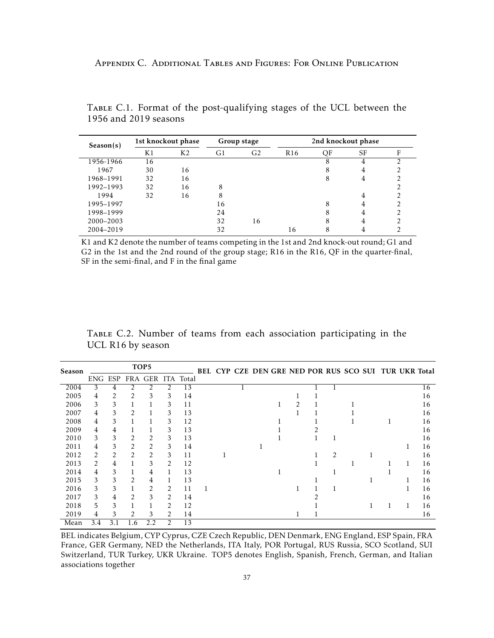| Season(s) | 1st knockout phase |                | Group stage |                | 2nd knockout phase |    |           |   |
|-----------|--------------------|----------------|-------------|----------------|--------------------|----|-----------|---|
|           | K1                 | K <sub>2</sub> | G1          | G <sub>2</sub> | R <sub>16</sub>    | QF | <b>SF</b> | F |
| 1956-1966 | 16                 |                |             |                |                    | 8  | 4         |   |
| 1967      | 30                 | 16             |             |                |                    |    | 4         |   |
| 1968-1991 | 32                 | 16             |             |                |                    | 8  | 4         |   |
| 1992-1993 | 32                 | 16             | 8           |                |                    |    |           | ◠ |
| 1994      | 32                 | 16             | 8           |                |                    |    | 4         | າ |
| 1995–1997 |                    |                | 16          |                |                    | 8  | 4         |   |
| 1998-1999 |                    |                | 24          |                |                    |    | 4         |   |
| 2000-2003 |                    |                | 32          | 16             |                    | 8  | 4         | ◠ |
| 2004-2019 |                    |                | 32          |                | 16                 |    |           |   |

<span id="page-36-1"></span><span id="page-36-0"></span>Table C.1. Format of the post-qualifying stages of the UCL between the 1956 and 2019 seasons

K1 and K2 denote the number of teams competing in the 1st and 2nd knock-out round; G1 and G2 in the 1st and the 2nd round of the group stage; R16 in the R16, QF in the quarter-final, SF in the semi-final, and F in the final game

Table C.2. Number of teams from each association participating in the UCL R16 by season

| Season |                |     |                | TOP <sub>5</sub>          |   |    |   |  |  |  |   |  | BEL CYP CZE DEN GRE NED POR RUS SCO SUI TUR UKR Total |   |    |
|--------|----------------|-----|----------------|---------------------------|---|----|---|--|--|--|---|--|-------------------------------------------------------|---|----|
|        |                |     |                | ENG ESP FRA GER ITA Total |   |    |   |  |  |  |   |  |                                                       |   |    |
| 2004   | 3              | 4   |                | 2                         |   | 13 |   |  |  |  |   |  |                                                       |   | 16 |
| 2005   | 4              |     | 2              | 3                         | 3 | 14 |   |  |  |  |   |  |                                                       |   | 16 |
| 2006   | 3              | 3   |                |                           | 3 | 11 |   |  |  |  |   |  |                                                       |   | 16 |
| 2007   | 4              | 3   | $\overline{2}$ |                           | 3 | 13 |   |  |  |  |   |  |                                                       |   | 16 |
| 2008   | 4              | 3   |                |                           | 3 | 12 |   |  |  |  |   |  |                                                       |   | 16 |
| 2009   | 4              | 4   |                |                           | 3 | 13 |   |  |  |  |   |  |                                                       |   | 16 |
| 2010   | 3              | 3   | 2              | 2                         | 3 | 13 |   |  |  |  |   |  |                                                       |   | 16 |
| 2011   | 4              | 3   | 2              | 2                         | 3 | 14 |   |  |  |  |   |  |                                                       |   | 16 |
| 2012   | $\mathcal{L}$  | 2   | 2              | 2                         | 3 | 11 |   |  |  |  | 2 |  |                                                       |   | 16 |
| 2013   | $\mathfrak{D}$ | 4   |                | 3                         | 2 | 12 |   |  |  |  |   |  |                                                       | 1 | 16 |
| 2014   | 4              | 3   |                | 4                         |   | 13 |   |  |  |  |   |  |                                                       |   | 16 |
| 2015   | 3              | 3   | 2              | 4                         |   | 13 |   |  |  |  |   |  |                                                       |   | 16 |
| 2016   | 3              | 3   |                | 2                         | 2 | 11 | 1 |  |  |  |   |  |                                                       |   | 16 |
| 2017   | 3              | 4   | 2              | 3                         | 2 | 14 |   |  |  |  |   |  |                                                       |   | 16 |
| 2018   | 5              | 3   |                |                           | 2 | 12 |   |  |  |  |   |  |                                                       |   | 16 |
| 2019   | 4              | 3   | 2              | 3                         | 2 | 14 |   |  |  |  |   |  |                                                       |   | 16 |
| Mean   | 3.4            | 3.1 | 1.6            | 2.2                       | 2 | 13 |   |  |  |  |   |  |                                                       |   |    |

BEL indicates Belgium, CYP Cyprus, CZE Czech Republic, DEN Denmark, ENG England, ESP Spain, FRA France, GER Germany, NED the Netherlands, ITA Italy, POR Portugal, RUS Russia, SCO Scotland, SUI Switzerland, TUR Turkey, UKR Ukraine. TOP5 denotes English, Spanish, French, German, and Italian associations together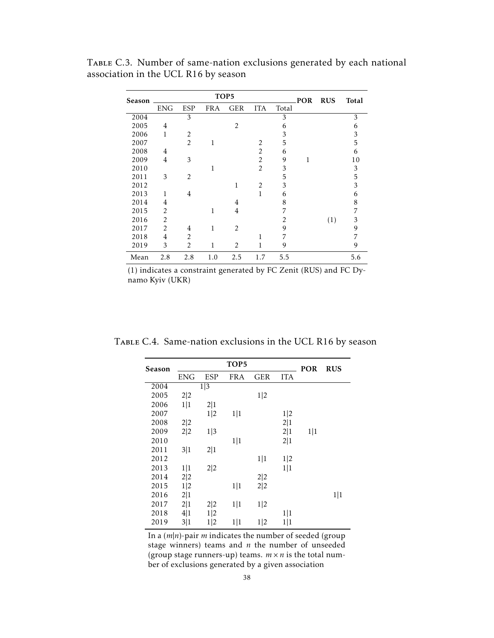| Season |                |                |            | TOP5           |                |       | POR | <b>RUS</b> | Total |
|--------|----------------|----------------|------------|----------------|----------------|-------|-----|------------|-------|
|        | <b>ENG</b>     | <b>ESP</b>     | <b>FRA</b> | <b>GER</b>     | <b>ITA</b>     | Total |     |            |       |
| 2004   |                | 3              |            |                |                | 3     |     |            | 3     |
| 2005   | 4              |                |            | 2              |                | 6     |     |            | 6     |
| 2006   | 1              | $\overline{2}$ |            |                |                | 3     |     |            | 3     |
| 2007   |                | $\mathfrak{D}$ | 1          |                | $\mathcal{P}$  | 5     |     |            | 5     |
| 2008   | 4              |                |            |                | 2              | 6     |     |            | 6     |
| 2009   | 4              | 3              |            |                | 2              | 9     | 1   |            | 10    |
| 2010   |                |                | 1          |                | 2              | 3     |     |            | 3     |
| 2011   | 3              | 2              |            |                |                | 5     |     |            | 5     |
| 2012   |                |                |            | $\mathbf{1}$   | $\overline{2}$ | 3     |     |            | 3     |
| 2013   | 1              | 4              |            |                | 1              | 6     |     |            | 6     |
| 2014   | 4              |                |            | 4              |                | 8     |     |            | 8     |
| 2015   | 2              |                | 1          | $\overline{4}$ |                | 7     |     |            | 7     |
| 2016   | 2              |                |            |                |                | 2     |     | (1)        | 3     |
| 2017   | $\overline{2}$ | 4              | 1          | 2              |                | 9     |     |            | 9     |
| 2018   | 4              | $\overline{2}$ |            |                | 1              | 7     |     |            | 7     |
| 2019   | 3              | $\overline{2}$ | 1          | 2              | 1              | 9     |     |            | 9     |
| Mean   | 2.8            | 2.8            | 1.0        | 2.5            | 1.7            | 5.5   |     |            | 5.6   |

TABLE C.3. Number of same-nation exclusions generated by each national association in the UCL R16 by season

(1) indicates a constraint generated by FC Zenit (RUS) and FC Dynamo Kyiv (UKR)

| Season |            |                  | TOP5       |     |            | <b>POR</b> | <b>RUS</b> |
|--------|------------|------------------|------------|-----|------------|------------|------------|
|        | <b>ENG</b> | ESP              | <b>FRA</b> | GER | <b>ITA</b> |            |            |
| 2004   |            | $\overline{1 3}$ |            |     |            |            |            |
| 2005   | 2 2        |                  |            | 1 2 |            |            |            |
| 2006   | 1 1        | 2 1              |            |     |            |            |            |
| 2007   |            | 1 2              | 1 1        |     | 1 2        |            |            |
| 2008   | 2 2        |                  |            |     | 2 1        |            |            |
| 2009   | 2 2        | 1 3              |            |     | 2 1        | 1 1        |            |
| 2010   |            |                  | 1 1        |     | 2 1        |            |            |
| 2011   | 3 1        | 2 1              |            |     |            |            |            |
| 2012   |            |                  |            | 1 1 | 1 2        |            |            |
| 2013   | 1 1        | 2 2              |            |     | 1 1        |            |            |
| 2014   | 2 2        |                  |            | 2 2 |            |            |            |
| 2015   | 1 2        |                  | 1 1        | 2 2 |            |            |            |
| 2016   | 2 1        |                  |            |     |            |            | 1 1        |
| 2017   | 2 1        | 2 2              | 1 1        | 1 2 |            |            |            |
| 2018   | 4 1        | 1 2              |            |     | 1 1        |            |            |
| 2019   | 3 1        | 1 2              | 1 1        | 1 2 | 1 1        |            |            |
|        |            |                  |            |     |            |            |            |

<span id="page-37-0"></span>TABLE C.4. Same-nation exclusions in the UCL R16 by season

In a (*m*|*n*)-pair *m* indicates the number of seeded (group stage winners) teams and *n* the number of unseeded (group stage runners-up) teams.  $m \times n$  is the total number of exclusions generated by a given association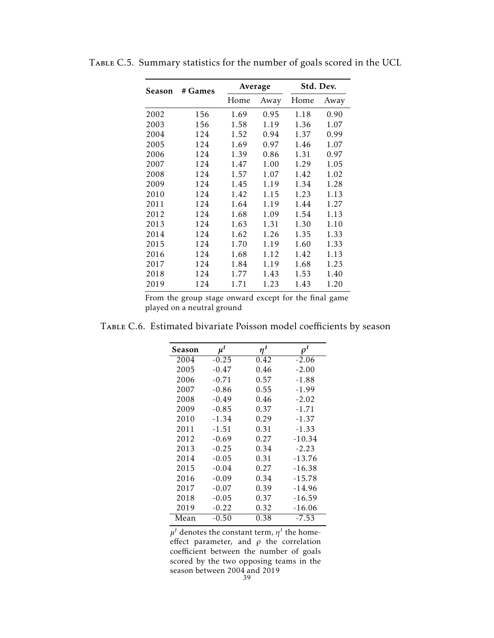| Season | # Games | Average |      |      | Std. Dev. |
|--------|---------|---------|------|------|-----------|
|        |         | Home    | Away | Home | Away      |
| 2002   | 156     | 1.69    | 0.95 | 1.18 | 0.90      |
| 2003   | 156     | 1.58    | 1.19 | 1.36 | 1.07      |
| 2004   | 124     | 1.52    | 0.94 | 1.37 | 0.99      |
| 2005   | 124     | 1.69    | 0.97 | 1.46 | 1.07      |
| 2006   | 124     | 1.39    | 0.86 | 1.31 | 0.97      |
| 2007   | 124     | 1.47    | 1.00 | 1.29 | 1.05      |
| 2008   | 124     | 1.57    | 1.07 | 1.42 | 1.02      |
| 2009   | 124     | 1.45    | 1.19 | 1.34 | 1.28      |
| 2010   | 124     | 1.42    | 1.15 | 1.23 | 1.13      |
| 2011   | 124     | 1.64    | 1.19 | 1.44 | 1.27      |
| 2012   | 124     | 1.68    | 1.09 | 1.54 | 1.13      |
| 2013   | 124     | 1.63    | 1.31 | 1.30 | 1.10      |
| 2014   | 124     | 1.62    | 1.26 | 1.35 | 1.33      |
| 2015   | 124     | 1.70    | 1.19 | 1.60 | 1.33      |
| 2016   | 124     | 1.68    | 1.12 | 1.42 | 1.13      |
| 2017   | 124     | 1.84    | 1.19 | 1.68 | 1.23      |
| 2018   | 124     | 1.77    | 1.43 | 1.53 | 1.40      |
| 2019   | 124     | 1.71    | 1.23 | 1.43 | 1.20      |

<span id="page-38-0"></span>Table C.5. Summary statistics for the number of goals scored in the UCL

From the group stage onward except for the final game played on a neutral ground

| Season | $\mu^t$ | $\eta^t$ | $\rho^t$ |
|--------|---------|----------|----------|
| 2004   | $-0.25$ | 0.42     | $-2.06$  |
| 2005   | $-0.47$ | 0.46     | $-2.00$  |
| 2006   | $-0.71$ | 0.57     | -1.88    |
| 2007   | $-0.86$ | 0.55     | $-1.99$  |
| 2008   | $-0.49$ | 0.46     | $-2.02$  |
| 2009   | $-0.85$ | 0.37     | $-1.71$  |
| 2010   | $-1.34$ | 0.29     | $-1.37$  |
| 2011   | -1.51   | 0.31     | $-1.33$  |
| 2012   | $-0.69$ | 0.27     | $-10.34$ |
| 2013   | $-0.25$ | 0.34     | $-2.23$  |
| 2014   | $-0.05$ | 0.31     | $-13.76$ |
| 2015   | $-0.04$ | 0.27     | $-16.38$ |
| 2016   | $-0.09$ | 0.34     | $-15.78$ |
| 2017   | $-0.07$ | 0.39     | -14.96   |
| 2018   | $-0.05$ | 0.37     | $-16.59$ |
| 2019   | $-0.22$ | 0.32     | -16.06   |
| Mean   | $-0.50$ | 0.38     | $-7.53$  |

<span id="page-38-1"></span>Table C.6. Estimated bivariate Poisson model coefficients by season

 $\mu^t$  denotes the constant term,  $\eta^t$  the homeeffect parameter, and *ρ* the correlation coefficient between the number of goals scored by the two opposing teams in the season between 2004 and 2019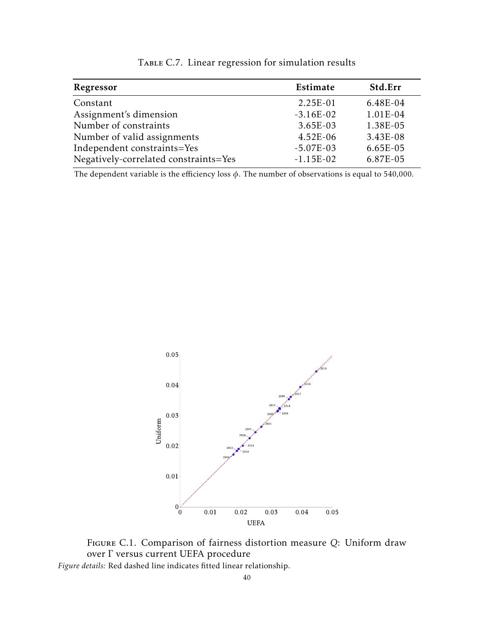<span id="page-39-1"></span>

| Regressor                             | Estimate    | Std.Err    |
|---------------------------------------|-------------|------------|
| Constant                              | $2.25E-01$  | $6.48E-04$ |
| Assignment's dimension                | $-3.16E-02$ | 1.01E-04   |
| Number of constraints                 | $3.65E-03$  | 1.38E-05   |
| Number of valid assignments           | $4.52E-06$  | 3.43E-08   |
| Independent constraints=Yes           | $-5.07E-03$ | $6.65E-05$ |
| Negatively-correlated constraints=Yes | $-1.15E-02$ | 6.87E-05   |

TABLE C.7. Linear regression for simulation results

<span id="page-39-0"></span>The dependent variable is the efficiency loss *φ*. The number of observations is equal to 540,000.



Figure C.1. Comparison of fairness distortion measure *Q*: Uniform draw over Γ versus current UEFA procedure

*Figure details:* Red dashed line indicates fitted linear relationship.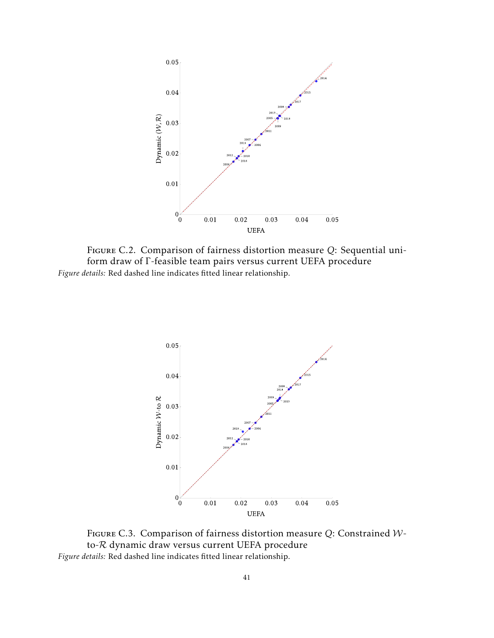

<span id="page-40-0"></span>Figure C.2. Comparison of fairness distortion measure *Q*: Sequential uniform draw of Γ-feasible team pairs versus current UEFA procedure *Figure details:* Red dashed line indicates fitted linear relationship.



Figure C.3. Comparison of fairness distortion measure *Q*: Constrained Wto-R dynamic draw versus current UEFA procedure *Figure details:* Red dashed line indicates fitted linear relationship.